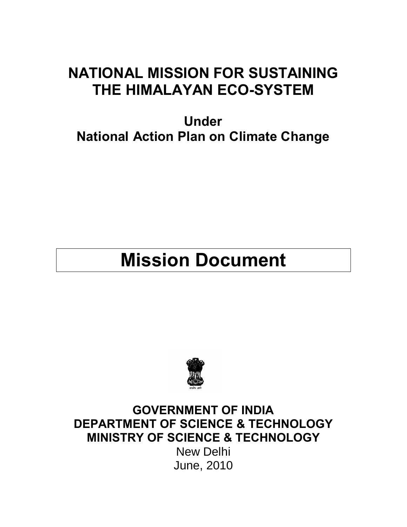# **NATIONAL MISSION FOR SUSTAINING THE HIMALAYAN ECO-SYSTEM**

**Under National Action Plan on Climate Change**

# **Mission Document**



**GOVERNMENT OF INDIA DEPARTMENT OF SCIENCE & TECHNOLOGY MINISTRY OF SCIENCE & TECHNOLOGY** New Delhi June, 2010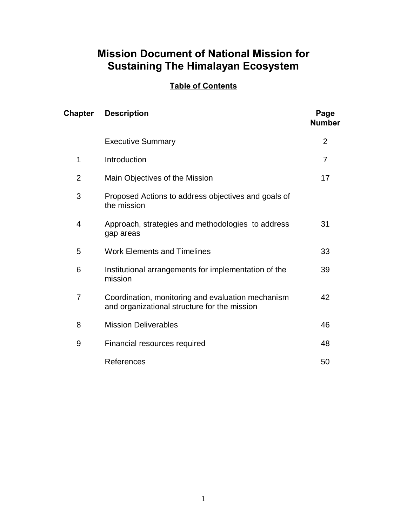# **Mission Document of National Mission for Sustaining The Himalayan Ecosystem**

# **Table of Contents**

| <b>Chapter</b> | <b>Description</b>                                                                                | Page<br><b>Number</b> |
|----------------|---------------------------------------------------------------------------------------------------|-----------------------|
|                | <b>Executive Summary</b>                                                                          | 2                     |
| 1              | Introduction                                                                                      | 7                     |
| $\overline{2}$ | Main Objectives of the Mission                                                                    | 17                    |
| 3              | Proposed Actions to address objectives and goals of<br>the mission                                |                       |
| $\overline{4}$ | Approach, strategies and methodologies to address<br>gap areas                                    | 31                    |
| 5              | <b>Work Elements and Timelines</b>                                                                | 33                    |
| 6              | Institutional arrangements for implementation of the<br>mission                                   | 39                    |
| $\overline{7}$ | Coordination, monitoring and evaluation mechanism<br>and organizational structure for the mission | 42                    |
| 8              | <b>Mission Deliverables</b>                                                                       | 46                    |
| 9              | Financial resources required                                                                      | 48                    |
|                | References                                                                                        | 50                    |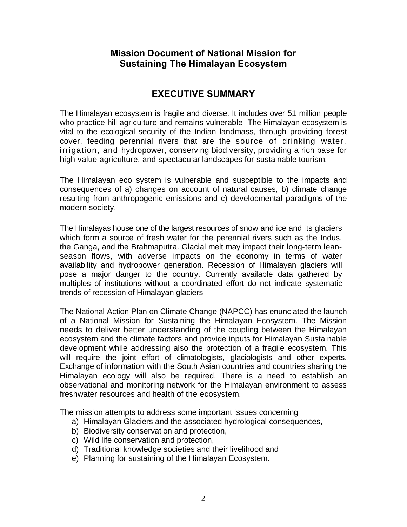# **Mission Document of National Mission for Sustaining The Himalayan Ecosystem**

# **EXECUTIVE SUMMARY**

The Himalayan ecosystem is fragile and diverse. It includes over 51 million people who practice hill agriculture and remains vulnerable The Himalayan ecosystem is vital to the ecological security of the Indian landmass, through providing forest cover, feeding perennial rivers that are the source of drinking water, irrigation, and hydropower, conserving biodiversity, providing a rich base for high value agriculture, and spectacular landscapes for sustainable tourism.

The Himalayan eco system is vulnerable and susceptible to the impacts and consequences of a) changes on account of natural causes, b) climate change resulting from anthropogenic emissions and c) developmental paradigms of the modern society.

The Himalayas house one of the largest resources of snow and ice and its glaciers which form a source of fresh water for the perennial rivers such as the Indus, the Ganga, and the Brahmaputra. Glacial melt may impact their long-term leanseason flows, with adverse impacts on the economy in terms of water availability and hydropower generation. Recession of Himalayan glaciers will pose a major danger to the country. Currently available data gathered by multiples of institutions without a coordinated effort do not indicate systematic trends of recession of Himalayan glaciers

The National Action Plan on Climate Change (NAPCC) has enunciated the launch of a National Mission for Sustaining the Himalayan Ecosystem. The Mission needs to deliver better understanding of the coupling between the Himalayan ecosystem and the climate factors and provide inputs for Himalayan Sustainable development while addressing also the protection of a fragile ecosystem. This will require the joint effort of climatologists, glaciologists and other experts. Exchange of information with the South Asian countries and countries sharing the Himalayan ecology will also be required. There is a need to establish an observational and monitoring network for the Himalayan environment to assess freshwater resources and health of the ecosystem.

The mission attempts to address some important issues concerning

- a) Himalayan Glaciers and the associated hydrological consequences,
- b) Biodiversity conservation and protection,
- c) Wild life conservation and protection,
- d) Traditional knowledge societies and their livelihood and
- e) Planning for sustaining of the Himalayan Ecosystem.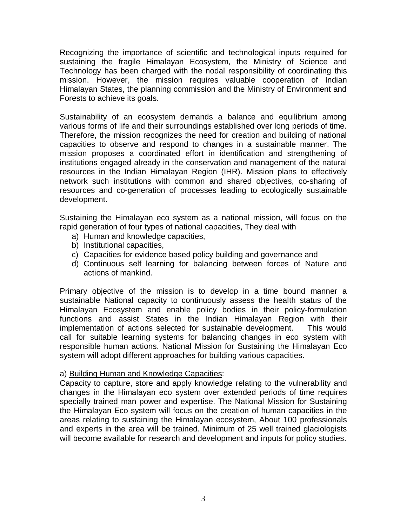Recognizing the importance of scientific and technological inputs required for sustaining the fragile Himalayan Ecosystem, the Ministry of Science and Technology has been charged with the nodal responsibility of coordinating this mission. However, the mission requires valuable cooperation of Indian Himalayan States, the planning commission and the Ministry of Environment and Forests to achieve its goals.

Sustainability of an ecosystem demands a balance and equilibrium among various forms of life and their surroundings established over long periods of time. Therefore, the mission recognizes the need for creation and building of national capacities to observe and respond to changes in a sustainable manner. The mission proposes a coordinated effort in identification and strengthening of institutions engaged already in the conservation and management of the natural resources in the Indian Himalayan Region (IHR). Mission plans to effectively network such institutions with common and shared objectives, co-sharing of resources and co-generation of processes leading to ecologically sustainable development.

Sustaining the Himalayan eco system as a national mission, will focus on the rapid generation of four types of national capacities, They deal with

- a) Human and knowledge capacities,
- b) Institutional capacities,
- c) Capacities for evidence based policy building and governance and
- d) Continuous self learning for balancing between forces of Nature and actions of mankind.

Primary objective of the mission is to develop in a time bound manner a sustainable National capacity to continuously assess the health status of the Himalayan Ecosystem and enable policy bodies in their policy-formulation functions and assist States in the Indian Himalayan Region with their implementation of actions selected for sustainable development. This would call for suitable learning systems for balancing changes in eco system with responsible human actions. National Mission for Sustaining the Himalayan Eco system will adopt different approaches for building various capacities.

#### a) Building Human and Knowledge Capacities:

Capacity to capture, store and apply knowledge relating to the vulnerability and changes in the Himalayan eco system over extended periods of time requires specially trained man power and expertise. The National Mission for Sustaining the Himalayan Eco system will focus on the creation of human capacities in the areas relating to sustaining the Himalayan ecosystem, About 100 professionals and experts in the area will be trained. Minimum of 25 well trained glaciologists will become available for research and development and inputs for policy studies.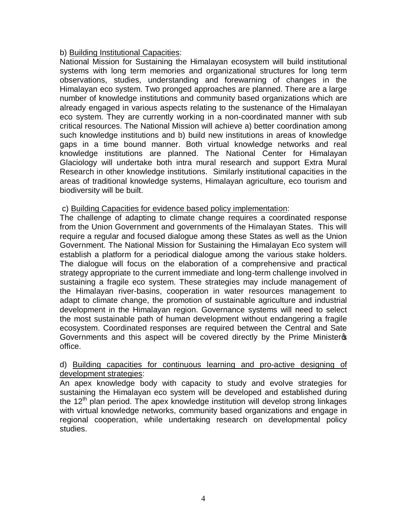#### b) Building Institutional Capacities:

National Mission for Sustaining the Himalayan ecosystem will build institutional systems with long term memories and organizational structures for long term observations, studies, understanding and forewarning of changes in the Himalayan eco system. Two pronged approaches are planned. There are a large number of knowledge institutions and community based organizations which are already engaged in various aspects relating to the sustenance of the Himalayan eco system. They are currently working in a non-coordinated manner with sub critical resources. The National Mission will achieve a) better coordination among such knowledge institutions and b) build new institutions in areas of knowledge gaps in a time bound manner. Both virtual knowledge networks and real knowledge institutions are planned. The National Center for Himalayan Glaciology will undertake both intra mural research and support Extra Mural Research in other knowledge institutions. Similarly institutional capacities in the areas of traditional knowledge systems, Himalayan agriculture, eco tourism and biodiversity will be built.

#### c) Building Capacities for evidence based policy implementation:

The challenge of adapting to climate change requires a coordinated response from the Union Government and governments of the Himalayan States. This will require a regular and focused dialogue among these States as well as the Union Government. The National Mission for Sustaining the Himalayan Eco system will establish a platform for a periodical dialogue among the various stake holders. The dialogue will focus on the elaboration of a comprehensive and practical strategy appropriate to the current immediate and long-term challenge involved in sustaining a fragile eco system. These strategies may include management of the Himalayan river-basins, cooperation in water resources management to adapt to climate change, the promotion of sustainable agriculture and industrial development in the Himalayan region. Governance systems will need to select the most sustainable path of human development without endangering a fragile ecosystem. Coordinated responses are required between the Central and Sate Governments and this aspect will be covered directly by the Prime Ministers office.

#### d) Building capacities for continuous learning and pro-active designing of development strategies:

An apex knowledge body with capacity to study and evolve strategies for sustaining the Himalayan eco system will be developed and established during the 12<sup>th</sup> plan period. The apex knowledge institution will develop strong linkages with virtual knowledge networks, community based organizations and engage in regional cooperation, while undertaking research on developmental policy studies.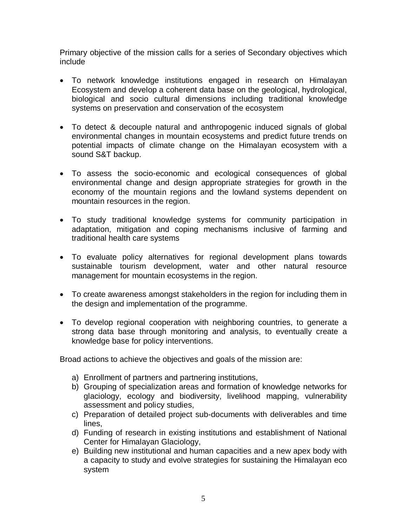Primary objective of the mission calls for a series of Secondary objectives which include

- · To network knowledge institutions engaged in research on Himalayan Ecosystem and develop a coherent data base on the geological, hydrological, biological and socio cultural dimensions including traditional knowledge systems on preservation and conservation of the ecosystem
- · To detect & decouple natural and anthropogenic induced signals of global environmental changes in mountain ecosystems and predict future trends on potential impacts of climate change on the Himalayan ecosystem with a sound S&T backup.
- · To assess the socio-economic and ecological consequences of global environmental change and design appropriate strategies for growth in the economy of the mountain regions and the lowland systems dependent on mountain resources in the region.
- · To study traditional knowledge systems for community participation in adaptation, mitigation and coping mechanisms inclusive of farming and traditional health care systems
- · To evaluate policy alternatives for regional development plans towards sustainable tourism development, water and other natural resource management for mountain ecosystems in the region.
- · To create awareness amongst stakeholders in the region for including them in the design and implementation of the programme.
- · To develop regional cooperation with neighboring countries, to generate a strong data base through monitoring and analysis, to eventually create a knowledge base for policy interventions.

Broad actions to achieve the objectives and goals of the mission are:

- a) Enrollment of partners and partnering institutions,
- b) Grouping of specialization areas and formation of knowledge networks for glaciology, ecology and biodiversity, livelihood mapping, vulnerability assessment and policy studies,
- c) Preparation of detailed project sub-documents with deliverables and time lines,
- d) Funding of research in existing institutions and establishment of National Center for Himalayan Glaciology,
- e) Building new institutional and human capacities and a new apex body with a capacity to study and evolve strategies for sustaining the Himalayan eco system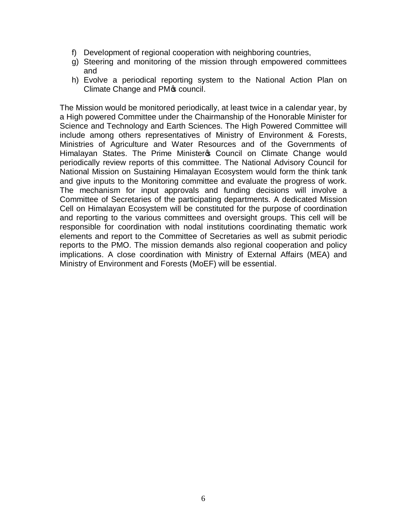- f) Development of regional cooperation with neighboring countries,
- g) Steering and monitoring of the mission through empowered committees and
- h) Evolve a periodical reporting system to the National Action Plan on Climate Change and PM $\sigma$  council.

The Mission would be monitored periodically, at least twice in a calendar year, by a High powered Committee under the Chairmanship of the Honorable Minister for Science and Technology and Earth Sciences. The High Powered Committee will include among others representatives of Ministry of Environment & Forests, Ministries of Agriculture and Water Resources and of the Governments of Himalayan States. The Prime Minister & Council on Climate Change would periodically review reports of this committee. The National Advisory Council for National Mission on Sustaining Himalayan Ecosystem would form the think tank and give inputs to the Monitoring committee and evaluate the progress of work. The mechanism for input approvals and funding decisions will involve a Committee of Secretaries of the participating departments. A dedicated Mission Cell on Himalayan Ecosystem will be constituted for the purpose of coordination and reporting to the various committees and oversight groups. This cell will be responsible for coordination with nodal institutions coordinating thematic work elements and report to the Committee of Secretaries as well as submit periodic reports to the PMO. The mission demands also regional cooperation and policy implications. A close coordination with Ministry of External Affairs (MEA) and Ministry of Environment and Forests (MoEF) will be essential.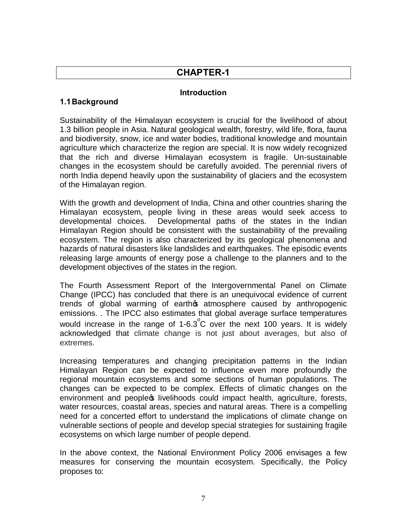# **CHAPTER-1**

#### **Introduction**

#### **1.1Background**

Sustainability of the Himalayan ecosystem is crucial for the livelihood of about 1.3 billion people in Asia. Natural geological wealth, forestry, wild life, flora, fauna and biodiversity, snow, ice and water bodies, traditional knowledge and mountain agriculture which characterize the region are special. It is now widely recognized that the rich and diverse Himalayan ecosystem is fragile. Un-sustainable changes in the ecosystem should be carefully avoided. The perennial rivers of north India depend heavily upon the sustainability of glaciers and the ecosystem of the Himalayan region.

With the growth and development of India, China and other countries sharing the Himalayan ecosystem, people living in these areas would seek access to developmental choices. Developmental paths of the states in the Indian Himalayan Region should be consistent with the sustainability of the prevailing ecosystem. The region is also characterized by its geological phenomena and hazards of natural disasters like landslides and earthquakes. The episodic events releasing large amounts of energy pose a challenge to the planners and to the development objectives of the states in the region.

The Fourth Assessment Report of the Intergovernmental Panel on Climate Change (IPCC) has concluded that there is an unequivocal evidence of current trends of global warming of earthos atmosphere caused by anthropogenic emissions. . The IPCC also estimates that global average surface temperatures would increase in the range of 1-6.3 $^{\circ}$ C over the next 100 years. It is widely acknowledged that climate change is not just about averages, but also of extremes.

Increasing temperatures and changing precipitation patterns in the Indian Himalayan Region can be expected to influence even more profoundly the regional mountain ecosystems and some sections of human populations. The changes can be expected to be complex. Effects of climatic changes on the environment and people tivelihoods could impact health, agriculture, forests, water resources, coastal areas, species and natural areas. There is a compelling need for a concerted effort to understand the implications of climate change on vulnerable sections of people and develop special strategies for sustaining fragile ecosystems on which large number of people depend.

In the above context, the National Environment Policy 2006 envisages a few measures for conserving the mountain ecosystem. Specifically, the Policy proposes to: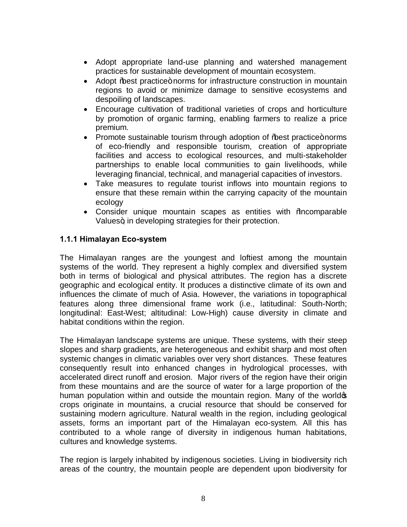- · Adopt appropriate land-use planning and watershed management practices for sustainable development of mountain ecosystem.
- Adopt % best practice + norms for infrastructure construction in mountain regions to avoid or minimize damage to sensitive ecosystems and despoiling of landscapes.
- · Encourage cultivation of traditional varieties of crops and horticulture by promotion of organic farming, enabling farmers to realize a price premium.
- Promote sustainable tourism through adoption of ‰est practice+norms of eco-friendly and responsible tourism, creation of appropriate facilities and access to ecological resources, and multi-stakeholder partnerships to enable local communities to gain livelihoods, while leveraging financial, technical, and managerial capacities of investors.
- · Take measures to regulate tourist inflows into mountain regions to ensure that these remain within the carrying capacity of the mountain ecology
- Consider unique mountain scapes as entities with % hacomparable Values<sup>+</sup>, in developing strategies for their protection.

#### **1.1.1 Himalayan Eco-system**

The Himalayan ranges are the youngest and loftiest among the mountain systems of the world. They represent a highly complex and diversified system both in terms of biological and physical attributes. The region has a discrete geographic and ecological entity. It produces a distinctive climate of its own and influences the climate of much of Asia. However, the variations in topographical features along three dimensional frame work (i.e., latitudinal: South-North; longitudinal: East-West; altitudinal: Low-High) cause diversity in climate and habitat conditions within the region.

The Himalayan landscape systems are unique. These systems, with their steep slopes and sharp gradients, are heterogeneous and exhibit sharp and most often systemic changes in climatic variables over very short distances. These features consequently result into enhanced changes in hydrological processes, with accelerated direct runoff and erosion. Major rivers of the region have their origin from these mountains and are the source of water for a large proportion of the human population within and outside the mountain region. Many of the world option crops originate in mountains, a crucial resource that should be conserved for sustaining modern agriculture. Natural wealth in the region, including geological assets, forms an important part of the Himalayan eco-system. All this has contributed to a whole range of diversity in indigenous human habitations, cultures and knowledge systems.

The region is largely inhabited by indigenous societies. Living in biodiversity rich areas of the country, the mountain people are dependent upon biodiversity for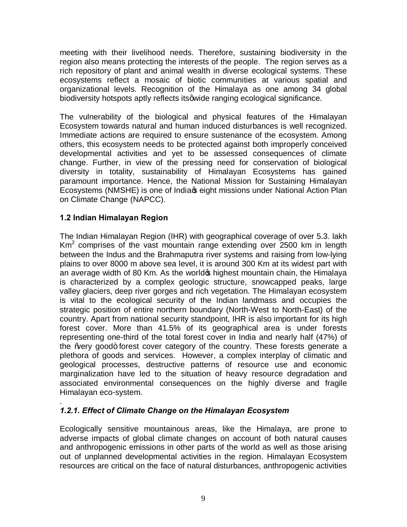meeting with their livelihood needs. Therefore, sustaining biodiversity in the region also means protecting the interests of the people. The region serves as a rich repository of plant and animal wealth in diverse ecological systems. These ecosystems reflect a mosaic of biotic communities at various spatial and organizational levels. Recognition of the Himalaya as one among 34 global biodiversity hotspots aptly reflects its qwide ranging ecological significance.

The vulnerability of the biological and physical features of the Himalayan Ecosystem towards natural and human induced disturbances is well recognized. Immediate actions are required to ensure sustenance of the ecosystem. Among others, this ecosystem needs to be protected against both improperly conceived developmental activities and yet to be assessed consequences of climate change. Further, in view of the pressing need for conservation of biological diversity in totality, sustainability of Himalayan Ecosystems has gained paramount importance. Hence, the National Mission for Sustaining Himalayan Ecosystems (NMSHE) is one of India option missions under National Action Plan on Climate Change (NAPCC).

#### **1.2 Indian Himalayan Region**

The Indian Himalayan Region (IHR) with geographical coverage of over 5.3. lakh  $\text{Km}^2$  comprises of the vast mountain range extending over 2500 km in length between the Indus and the Brahmaputra river systems and raising from low-lying plains to over 8000 m above sea level, it is around 300 Km at its widest part with an average width of 80 Km. As the world op highest mountain chain, the Himalaya is characterized by a complex geologic structure, snowcapped peaks, large valley glaciers, deep river gorges and rich vegetation. The Himalayan ecosystem is vital to the ecological security of the Indian landmass and occupies the strategic position of entire northern boundary (North-West to North-East) of the country. Apart from national security standpoint, IHR is also important for its high forest cover. More than 41.5% of its geographical area is under forests representing one-third of the total forest cover in India and nearly half (47%) of the % tery good+ forest cover category of the country. These forests generate a plethora of goods and services. However, a complex interplay of climatic and geological processes, destructive patterns of resource use and economic marginalization have led to the situation of heavy resource degradation and associated environmental consequences on the highly diverse and fragile Himalayan eco-system.

#### . *1.2.1. Effect of Climate Change on the Himalayan Ecosystem*

Ecologically sensitive mountainous areas, like the Himalaya, are prone to adverse impacts of global climate changes on account of both natural causes and anthropogenic emissions in other parts of the world as well as those arising out of unplanned developmental activities in the region. Himalayan Ecosystem resources are critical on the face of natural disturbances, anthropogenic activities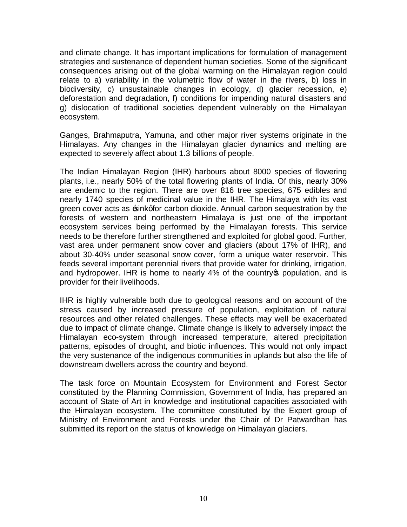and climate change. It has important implications for formulation of management strategies and sustenance of dependent human societies. Some of the significant consequences arising out of the global warming on the Himalayan region could relate to a) variability in the volumetric flow of water in the rivers, b) loss in biodiversity, c) unsustainable changes in ecology, d) glacier recession, e) deforestation and degradation, f) conditions for impending natural disasters and g) dislocation of traditional societies dependent vulnerably on the Himalayan ecosystem.

Ganges, Brahmaputra, Yamuna, and other major river systems originate in the Himalayas. Any changes in the Himalayan glacier dynamics and melting are expected to severely affect about 1.3 billions of people.

The Indian Himalayan Region (IHR) harbours about 8000 species of flowering plants, i.e., nearly 50% of the total flowering plants of India. Of this, nearly 30% are endemic to the region. There are over 816 tree species, 675 edibles and nearly 1740 species of medicinal value in the IHR. The Himalaya with its vast green cover acts as  $\pm$ inkgfor carbon dioxide. Annual carbon sequestration by the forests of western and northeastern Himalaya is just one of the important ecosystem services being performed by the Himalayan forests. This service needs to be therefore further strengthened and exploited for global good. Further, vast area under permanent snow cover and glaciers (about 17% of IHR), and about 30-40% under seasonal snow cover, form a unique water reservoir. This feeds several important perennial rivers that provide water for drinking, irrigation, and hydropower. IHR is home to nearly 4% of the country oppulation, and is provider for their livelihoods.

IHR is highly vulnerable both due to geological reasons and on account of the stress caused by increased pressure of population, exploitation of natural resources and other related challenges. These effects may well be exacerbated due to impact of climate change. Climate change is likely to adversely impact the Himalayan eco-system through increased temperature, altered precipitation patterns, episodes of drought, and biotic influences. This would not only impact the very sustenance of the indigenous communities in uplands but also the life of downstream dwellers across the country and beyond.

The task force on Mountain Ecosystem for Environment and Forest Sector constituted by the Planning Commission, Government of India, has prepared an account of State of Art in knowledge and institutional capacities associated with the Himalayan ecosystem. The committee constituted by the Expert group of Ministry of Environment and Forests under the Chair of Dr Patwardhan has submitted its report on the status of knowledge on Himalayan glaciers.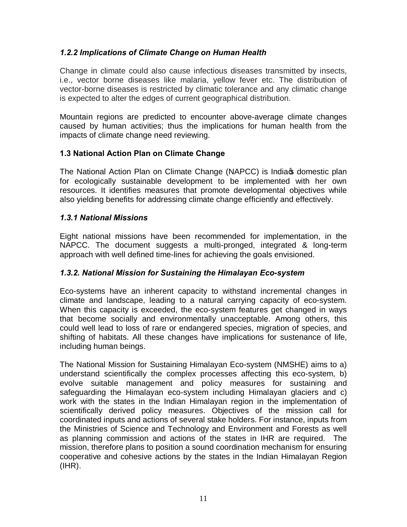#### *1.2.2 Implications of Climate Change on Human Health*

Change in climate could also cause infectious diseases transmitted by insects, i.e., vector borne diseases like malaria, yellow fever etc. The distribution of vector-borne diseases is restricted by climatic tolerance and any climatic change is expected to alter the edges of current geographical distribution.

Mountain regions are predicted to encounter above-average climate changes caused by human activities; thus the implications for human health from the impacts of climate change need reviewing.

#### **1.3 National Action Plan on Climate Change**

The National Action Plan on Climate Change (NAPCC) is India opdomestic plan for ecologically sustainable development to be implemented with her own resources. It identifies measures that promote developmental objectives while also yielding benefits for addressing climate change efficiently and effectively.

#### *1.3.1 National Missions*

Eight national missions have been recommended for implementation, in the NAPCC. The document suggests a multi-pronged, integrated & long-term approach with well defined time-lines for achieving the goals envisioned.

#### *1.3.2. National Mission for Sustaining the Himalayan Eco-system*

Eco-systems have an inherent capacity to withstand incremental changes in climate and landscape, leading to a natural carrying capacity of eco-system. When this capacity is exceeded, the eco-system features get changed in ways that become socially and environmentally unacceptable. Among others, this could well lead to loss of rare or endangered species, migration of species, and shifting of habitats. All these changes have implications for sustenance of life, including human beings.

The National Mission for Sustaining Himalayan Eco-system (NMSHE) aims to a) understand scientifically the complex processes affecting this eco-system, b) evolve suitable management and policy measures for sustaining and safeguarding the Himalayan eco-system including Himalayan glaciers and c) work with the states in the Indian Himalayan region in the implementation of scientifically derived policy measures. Objectives of the mission call for coordinated inputs and actions of several stake holders. For instance, inputs from the Ministries of Science and Technology and Environment and Forests as well as planning commission and actions of the states in IHR are required. The mission, therefore plans to position a sound coordination mechanism for ensuring cooperative and cohesive actions by the states in the Indian Himalayan Region (IHR).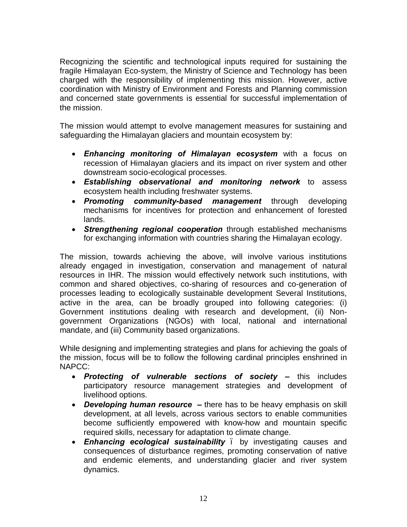Recognizing the scientific and technological inputs required for sustaining the fragile Himalayan Eco-system, the Ministry of Science and Technology has been charged with the responsibility of implementing this mission. However, active coordination with Ministry of Environment and Forests and Planning commission and concerned state governments is essential for successful implementation of the mission.

The mission would attempt to evolve management measures for sustaining and safeguarding the Himalayan glaciers and mountain ecosystem by:

- · *Enhancing monitoring of Himalayan ecosystem* with a focus on recession of Himalayan glaciers and its impact on river system and other downstream socio-ecological processes.
- · *Establishing observational and monitoring network* to assess ecosystem health including freshwater systems.
- · *Promoting community-based management* through developing mechanisms for incentives for protection and enhancement of forested lands.
- · *Strengthening regional cooperation* through established mechanisms for exchanging information with countries sharing the Himalayan ecology.

The mission, towards achieving the above, will involve various institutions already engaged in investigation, conservation and management of natural resources in IHR. The mission would effectively network such institutions, with common and shared objectives, co-sharing of resources and co-generation of processes leading to ecologically sustainable development Several Institutions, active in the area, can be broadly grouped into following categories: (i) Government institutions dealing with research and development, (ii) Nongovernment Organizations (NGOs) with local, national and international mandate, and (iii) Community based organizations.

While designing and implementing strategies and plans for achieving the goals of the mission, focus will be to follow the following cardinal principles enshrined in NAPCC:

- · *Protecting of vulnerable sections of society –* this includes participatory resource management strategies and development of livelihood options.
- · *Developing human resource –* there has to be heavy emphasis on skill development, at all levels, across various sectors to enable communities become sufficiently empowered with know-how and mountain specific required skills, necessary for adaptation to climate change.
- · *Enhancing ecological sustainability* by investigating causes and consequences of disturbance regimes, promoting conservation of native and endemic elements, and understanding glacier and river system dynamics.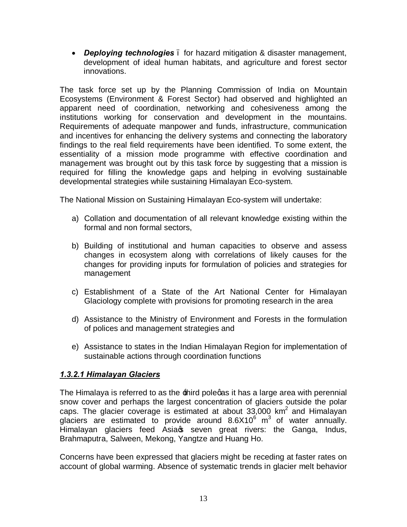· *Deploying technologies* – for hazard mitigation & disaster management, development of ideal human habitats, and agriculture and forest sector innovations.

The task force set up by the Planning Commission of India on Mountain Ecosystems (Environment & Forest Sector) had observed and highlighted an apparent need of coordination, networking and cohesiveness among the institutions working for conservation and development in the mountains. Requirements of adequate manpower and funds, infrastructure, communication and incentives for enhancing the delivery systems and connecting the laboratory findings to the real field requirements have been identified. To some extent, the essentiality of a mission mode programme with effective coordination and management was brought out by this task force by suggesting that a mission is required for filling the knowledge gaps and helping in evolving sustainable developmental strategies while sustaining Himalayan Eco-system.

The National Mission on Sustaining Himalayan Eco-system will undertake:

- a) Collation and documentation of all relevant knowledge existing within the formal and non formal sectors,
- b) Building of institutional and human capacities to observe and assess changes in ecosystem along with correlations of likely causes for the changes for providing inputs for formulation of policies and strategies for management
- c) Establishment of a State of the Art National Center for Himalayan Glaciology complete with provisions for promoting research in the area
- d) Assistance to the Ministry of Environment and Forests in the formulation of polices and management strategies and
- e) Assistance to states in the Indian Himalayan Region for implementation of sustainable actions through coordination functions

# *1.3.2.1 Himalayan Glaciers*

The Himalaya is referred to as the third polegas it has a large area with perennial snow cover and perhaps the largest concentration of glaciers outside the polar caps. The glacier coverage is estimated at about  $33,000$  km<sup>2</sup> and Himalayan glaciers are estimated to provide around  $8.6X10^6$  m<sup>3</sup> of water annually. Himalayan glaciers feed Asias seven great rivers: the Ganga, Indus, Brahmaputra, Salween, Mekong, Yangtze and Huang Ho.

Concerns have been expressed that glaciers might be receding at faster rates on account of global warming. Absence of systematic trends in glacier melt behavior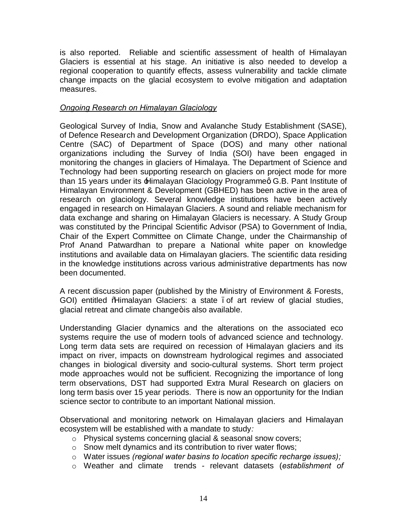is also reported. Reliable and scientific assessment of health of Himalayan Glaciers is essential at his stage. An initiative is also needed to develop a regional cooperation to quantify effects, assess vulnerability and tackle climate change impacts on the glacial ecosystem to evolve mitigation and adaptation measures.

#### *Ongoing Research on Himalayan Glaciology*

Geological Survey of India, Snow and Avalanche Study Establishment (SASE), of Defence Research and Development Organization (DRDO), Space Application Centre (SAC) of Department of Space (DOS) and many other national organizations including the Survey of India (SOI) have been engaged in monitoring the changes in glaciers of Himalaya. The Department of Science and Technology had been supporting research on glaciers on project mode for more than 15 years under its **H**imalayan Glaciology Programmeg G.B. Pant Institute of Himalayan Environment & Development (GBHED) has been active in the area of research on glaciology. Several knowledge institutions have been actively engaged in research on Himalayan Glaciers. A sound and reliable mechanism for data exchange and sharing on Himalayan Glaciers is necessary. A Study Group was constituted by the Principal Scientific Advisor (PSA) to Government of India, Chair of the Expert Committee on Climate Change, under the Chairmanship of Prof Anand Patwardhan to prepare a National white paper on knowledge institutions and available data on Himalayan glaciers. The scientific data residing in the knowledge institutions across various administrative departments has now been documented.

A recent discussion paper (published by the Ministry of Environment & Forests, GOI) entitled %Himalayan Glaciers: a state of art review of glacial studies, glacial retreat and climate change+ is also available.

Understanding Glacier dynamics and the alterations on the associated eco systems require the use of modern tools of advanced science and technology. Long term data sets are required on recession of Himalayan glaciers and its impact on river, impacts on downstream hydrological regimes and associated changes in biological diversity and socio-cultural systems. Short term project mode approaches would not be sufficient. Recognizing the importance of long term observations, DST had supported Extra Mural Research on glaciers on long term basis over 15 year periods. There is now an opportunity for the Indian science sector to contribute to an important National mission.

Observational and monitoring network on Himalayan glaciers and Himalayan ecosystem will be established with a mandate to study*:*

- o Physical systems concerning glacial & seasonal snow covers;
- o Snow melt dynamics and its contribution to river water flows;
- o Water issues *(regional water basins to location specific recharge issues);*
- o Weather and climate trends relevant datasets (*establishment of*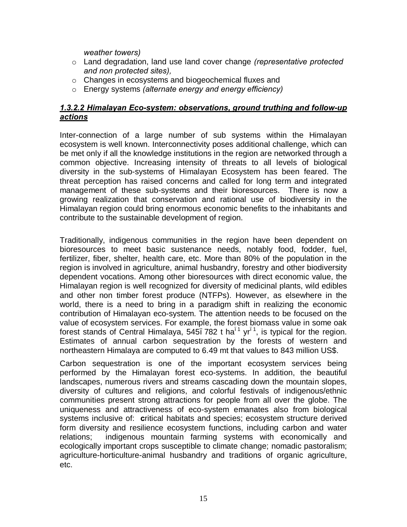*weather towers)*

- o Land degradation, land use land cover change *(representative protected and non protected sites),*
- o Changes in ecosystems and biogeochemical fluxes and
- o Energy systems *(alternate energy and energy efficiency)*

#### *1.3.2.2 Himalayan Eco-system: observations, ground truthing and follow-up actions*

Inter-connection of a large number of sub systems within the Himalayan ecosystem is well known. Interconnectivity poses additional challenge, which can be met only if all the knowledge institutions in the region are networked through a common objective. Increasing intensity of threats to all levels of biological diversity in the sub-systems of Himalayan Ecosystem has been feared. The threat perception has raised concerns and called for long term and integrated management of these sub-systems and their bioresources. There is now a growing realization that conservation and rational use of biodiversity in the Himalayan region could bring enormous economic benefits to the inhabitants and contribute to the sustainable development of region.

Traditionally, indigenous communities in the region have been dependent on bioresources to meet basic sustenance needs, notably food, fodder, fuel, fertilizer, fiber, shelter, health care, etc. More than 80% of the population in the region is involved in agriculture, animal husbandry, forestry and other biodiversity dependent vocations. Among other bioresources with direct economic value, the Himalayan region is well recognized for diversity of medicinal plants, wild edibles and other non timber forest produce (NTFPs). However, as elsewhere in the world, there is a need to bring in a paradigm shift in realizing the economic contribution of Himalayan eco-system. The attention needs to be focused on the value of ecosystem services. For example, the forest biomass value in some oak forest stands of Central Himalaya, 545. 782 t ha $^{-1}$  yr $^{-1}$ , is typical for the region. Estimates of annual carbon sequestration by the forests of western and northeastern Himalaya are computed to 6.49 mt that values to 843 million US\$.

Carbon sequestration is one of the important ecosystem services being performed by the Himalayan forest eco-systems. In addition, the beautiful landscapes, numerous rivers and streams cascading down the mountain slopes, diversity of cultures and religions, and colorful festivals of indigenous/ethnic communities present strong attractions for people from all over the globe. The uniqueness and attractiveness of eco-system emanates also from biological systems inclusive of: **c**ritical habitats and species; ecosystem structure derived form diversity and resilience ecosystem functions, including carbon and water relations; indigenous mountain farming systems with economically and ecologically important crops susceptible to climate change; nomadic pastoralism; agriculture-horticulture-animal husbandry and traditions of organic agriculture, etc.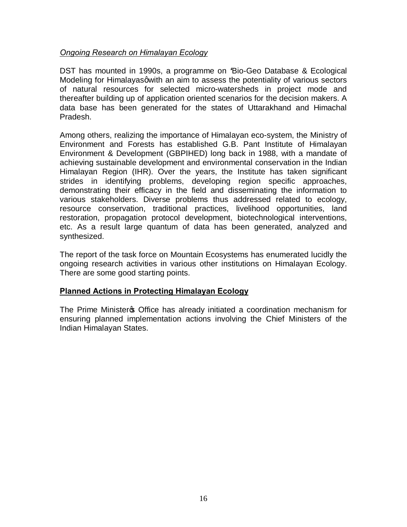#### *Ongoing Research on Himalayan Ecology*

DST has mounted in 1990s, a programme on *'*Bio-Geo Database & Ecological Modeling for Himalayas qwith an aim to assess the potentiality of various sectors of natural resources for selected micro-watersheds in project mode and thereafter building up of application oriented scenarios for the decision makers. A data base has been generated for the states of Uttarakhand and Himachal Pradesh.

Among others, realizing the importance of Himalayan eco-system, the Ministry of Environment and Forests has established G.B. Pant Institute of Himalayan Environment & Development (GBPIHED) long back in 1988, with a mandate of achieving sustainable development and environmental conservation in the Indian Himalayan Region (IHR). Over the years, the Institute has taken significant strides in identifying problems, developing region specific approaches, demonstrating their efficacy in the field and disseminating the information to various stakeholders. Diverse problems thus addressed related to ecology, resource conservation, traditional practices, livelihood opportunities, land restoration, propagation protocol development, biotechnological interventions, etc. As a result large quantum of data has been generated, analyzed and synthesized.

The report of the task force on Mountain Ecosystems has enumerated lucidly the ongoing research activities in various other institutions on Himalayan Ecology. There are some good starting points.

#### **Planned Actions in Protecting Himalayan Ecology**

The Prime Minister **S** Office has already initiated a coordination mechanism for ensuring planned implementation actions involving the Chief Ministers of the Indian Himalayan States.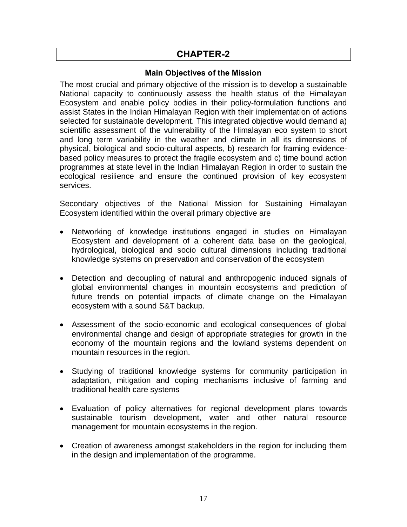# **CHAPTER-2**

#### **Main Objectives of the Mission**

The most crucial and primary objective of the mission is to develop a sustainable National capacity to continuously assess the health status of the Himalayan Ecosystem and enable policy bodies in their policy-formulation functions and assist States in the Indian Himalayan Region with their implementation of actions selected for sustainable development. This integrated objective would demand a) scientific assessment of the vulnerability of the Himalayan eco system to short and long term variability in the weather and climate in all its dimensions of physical, biological and socio-cultural aspects, b) research for framing evidencebased policy measures to protect the fragile ecosystem and c) time bound action programmes at state level in the Indian Himalayan Region in order to sustain the ecological resilience and ensure the continued provision of key ecosystem services.

Secondary objectives of the National Mission for Sustaining Himalayan Ecosystem identified within the overall primary objective are

- · Networking of knowledge institutions engaged in studies on Himalayan Ecosystem and development of a coherent data base on the geological, hydrological, biological and socio cultural dimensions including traditional knowledge systems on preservation and conservation of the ecosystem
- · Detection and decoupling of natural and anthropogenic induced signals of global environmental changes in mountain ecosystems and prediction of future trends on potential impacts of climate change on the Himalayan ecosystem with a sound S&T backup.
- · Assessment of the socio-economic and ecological consequences of global environmental change and design of appropriate strategies for growth in the economy of the mountain regions and the lowland systems dependent on mountain resources in the region.
- · Studying of traditional knowledge systems for community participation in adaptation, mitigation and coping mechanisms inclusive of farming and traditional health care systems
- · Evaluation of policy alternatives for regional development plans towards sustainable tourism development, water and other natural resource management for mountain ecosystems in the region.
- Creation of awareness amongst stakeholders in the region for including them in the design and implementation of the programme.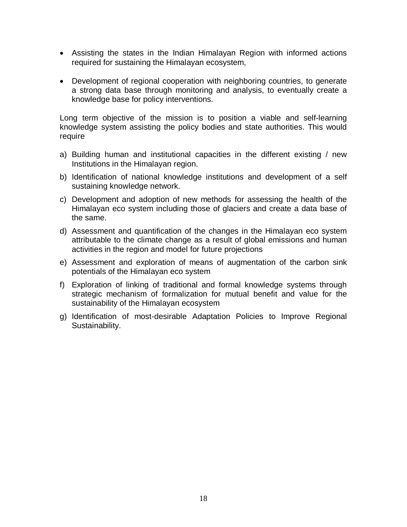- · Assisting the states in the Indian Himalayan Region with informed actions required for sustaining the Himalayan ecosystem,
- · Development of regional cooperation with neighboring countries, to generate a strong data base through monitoring and analysis, to eventually create a knowledge base for policy interventions.

Long term objective of the mission is to position a viable and self-learning knowledge system assisting the policy bodies and state authorities. This would require

- a) Building human and institutional capacities in the different existing / new Institutions in the Himalayan region.
- b) Identification of national knowledge institutions and development of a self sustaining knowledge network.
- c) Development and adoption of new methods for assessing the health of the Himalayan eco system including those of glaciers and create a data base of the same.
- d) Assessment and quantification of the changes in the Himalayan eco system attributable to the climate change as a result of global emissions and human activities in the region and model for future projections
- e) Assessment and exploration of means of augmentation of the carbon sink potentials of the Himalayan eco system
- f) Exploration of linking of traditional and formal knowledge systems through strategic mechanism of formalization for mutual benefit and value for the sustainability of the Himalayan ecosystem
- g) Identification of most-desirable Adaptation Policies to Improve Regional Sustainability.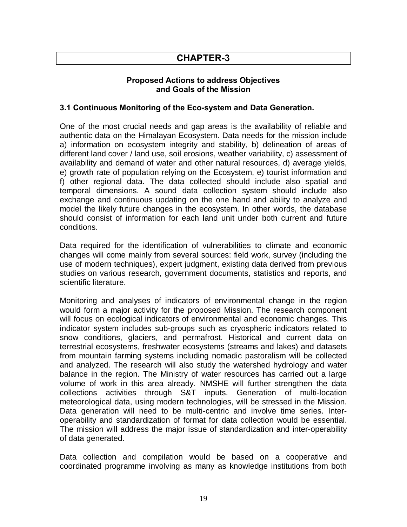# **CHAPTER-3**

#### **Proposed Actions to address Objectives and Goals of the Mission**

#### **3.1 Continuous Monitoring of the Eco-system and Data Generation.**

One of the most crucial needs and gap areas is the availability of reliable and authentic data on the Himalayan Ecosystem. Data needs for the mission include a) information on ecosystem integrity and stability, b) delineation of areas of different land cover / land use, soil erosions, weather variability, c) assessment of availability and demand of water and other natural resources, d) average yields, e) growth rate of population relying on the Ecosystem, e) tourist information and f) other regional data. The data collected should include also spatial and temporal dimensions. A sound data collection system should include also exchange and continuous updating on the one hand and ability to analyze and model the likely future changes in the ecosystem. In other words, the database should consist of information for each land unit under both current and future conditions.

Data required for the identification of vulnerabilities to climate and economic changes will come mainly from several sources: field work, survey (including the use of modern techniques), expert judgment, existing data derived from previous studies on various research, government documents, statistics and reports, and scientific literature.

Monitoring and analyses of indicators of environmental change in the region would form a major activity for the proposed Mission. The research component will focus on ecological indicators of environmental and economic changes. This indicator system includes sub-groups such as cryospheric indicators related to snow conditions, glaciers, and permafrost. Historical and current data on terrestrial ecosystems, freshwater ecosystems (streams and lakes) and datasets from mountain farming systems including nomadic pastoralism will be collected and analyzed. The research will also study the watershed hydrology and water balance in the region. The Ministry of water resources has carried out a large volume of work in this area already. NMSHE will further strengthen the data collections activities through S&T inputs. Generation of multi-location meteorological data, using modern technologies, will be stressed in the Mission. Data generation will need to be multi-centric and involve time series. Interoperability and standardization of format for data collection would be essential. The mission will address the major issue of standardization and inter-operability of data generated.

Data collection and compilation would be based on a cooperative and coordinated programme involving as many as knowledge institutions from both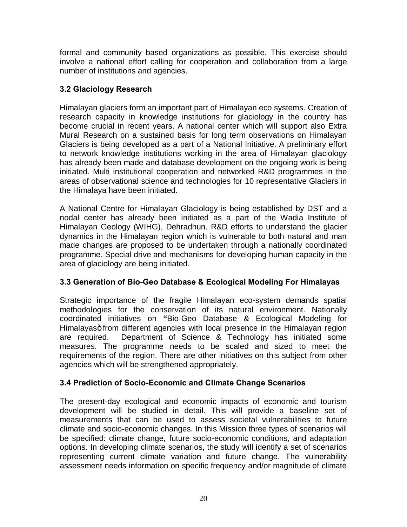formal and community based organizations as possible. This exercise should involve a national effort calling for cooperation and collaboration from a large number of institutions and agencies.

#### **3.2 Glaciology Research**

Himalayan glaciers form an important part of Himalayan eco systems. Creation of research capacity in knowledge institutions for glaciology in the country has become crucial in recent years. A national center which will support also Extra Mural Research on a sustained basis for long term observations on Himalayan Glaciers is being developed as a part of a National Initiative. A preliminary effort to network knowledge institutions working in the area of Himalayan glaciology has already been made and database development on the ongoing work is being initiated. Multi institutional cooperation and networked R&D programmes in the areas of observational science and technologies for 10 representative Glaciers in the Himalaya have been initiated.

A National Centre for Himalayan Glaciology is being established by DST and a nodal center has already been initiated as a part of the Wadia Institute of Himalayan Geology (WIHG), Dehradhun. R&D efforts to understand the glacier dynamics in the Himalayan region which is vulnerable to both natural and man made changes are proposed to be undertaken through a nationally coordinated programme. Special drive and mechanisms for developing human capacity in the area of glaciology are being initiated.

# **3.3 Generation of Bio-Geo Database & Ecological Modeling For Himalayas**

Strategic importance of the fragile Himalayan eco-system demands spatial methodologies for the conservation of its natural environment. Nationally coordinated initiatives on **"**Bio-Geo Database & Ecological Modeling for Himalayas+ from different agencies with local presence in the Himalayan region are required. Department of Science & Technology has initiated some measures. The programme needs to be scaled and sized to meet the requirements of the region. There are other initiatives on this subject from other agencies which will be strengthened appropriately.

#### **3.4 Prediction of Socio-Economic and Climate Change Scenarios**

The present-day ecological and economic impacts of economic and tourism development will be studied in detail. This will provide a baseline set of measurements that can be used to assess societal vulnerabilities to future climate and socio-economic changes. In this Mission three types of scenarios will be specified: climate change, future socio-economic conditions, and adaptation options. In developing climate scenarios, the study will identify a set of scenarios representing current climate variation and future change. The vulnerability assessment needs information on specific frequency and/or magnitude of climate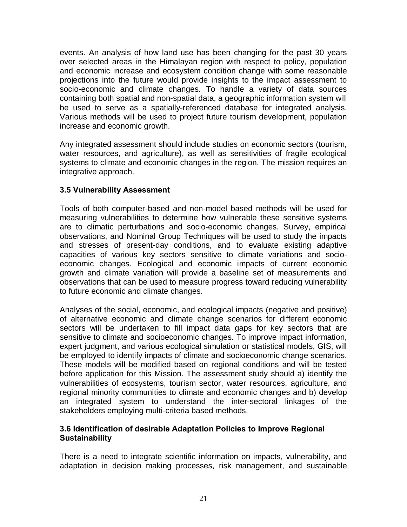events. An analysis of how land use has been changing for the past 30 years over selected areas in the Himalayan region with respect to policy, population and economic increase and ecosystem condition change with some reasonable projections into the future would provide insights to the impact assessment to socio-economic and climate changes. To handle a variety of data sources containing both spatial and non-spatial data, a geographic information system will be used to serve as a spatially-referenced database for integrated analysis. Various methods will be used to project future tourism development, population increase and economic growth.

Any integrated assessment should include studies on economic sectors (tourism, water resources, and agriculture), as well as sensitivities of fragile ecological systems to climate and economic changes in the region. The mission requires an integrative approach.

#### **3.5 Vulnerability Assessment**

Tools of both computer-based and non-model based methods will be used for measuring vulnerabilities to determine how vulnerable these sensitive systems are to climatic perturbations and socio-economic changes. Survey, empirical observations, and Nominal Group Techniques will be used to study the impacts and stresses of present-day conditions, and to evaluate existing adaptive capacities of various key sectors sensitive to climate variations and socioeconomic changes. Ecological and economic impacts of current economic growth and climate variation will provide a baseline set of measurements and observations that can be used to measure progress toward reducing vulnerability to future economic and climate changes.

Analyses of the social, economic, and ecological impacts (negative and positive) of alternative economic and climate change scenarios for different economic sectors will be undertaken to fill impact data gaps for key sectors that are sensitive to climate and socioeconomic changes. To improve impact information, expert judgment, and various ecological simulation or statistical models, GIS, will be employed to identify impacts of climate and socioeconomic change scenarios. These models will be modified based on regional conditions and will be tested before application for this Mission. The assessment study should a) identify the vulnerabilities of ecosystems, tourism sector, water resources, agriculture, and regional minority communities to climate and economic changes and b) develop an integrated system to understand the inter-sectoral linkages of the stakeholders employing multi-criteria based methods.

#### **3.6 Identification of desirable Adaptation Policies to Improve Regional Sustainability**

There is a need to integrate scientific information on impacts, vulnerability, and adaptation in decision making processes, risk management, and sustainable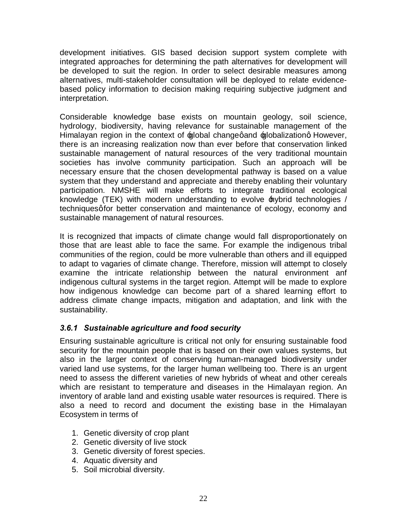development initiatives. GIS based decision support system complete with integrated approaches for determining the path alternatives for development will be developed to suit the region. In order to select desirable measures among alternatives, multi-stakeholder consultation will be deployed to relate evidencebased policy information to decision making requiring subjective judgment and interpretation.

Considerable knowledge base exists on mountain geology, soil science, hydrology, biodiversity, having relevance for sustainable management of the Himalayan region in the context of global change qand globalizationg However, there is an increasing realization now than ever before that conservation linked sustainable management of natural resources of the very traditional mountain societies has involve community participation. Such an approach will be necessary ensure that the chosen developmental pathway is based on a value system that they understand and appreciate and thereby enabling their voluntary participation. NMSHE will make efforts to integrate traditional ecological knowledge (TEK) with modern understanding to evolve  $\pm$ ybrid technologies / techniques a for better conservation and maintenance of ecology, economy and sustainable management of natural resources.

It is recognized that impacts of climate change would fall disproportionately on those that are least able to face the same. For example the indigenous tribal communities of the region, could be more vulnerable than others and ill equipped to adapt to vagaries of climate change. Therefore, mission will attempt to closely examine the intricate relationship between the natural environment anf indigenous cultural systems in the target region. Attempt will be made to explore how indigenous knowledge can become part of a shared learning effort to address climate change impacts, mitigation and adaptation, and link with the sustainability.

#### *3.6.1 Sustainable agriculture and food security*

Ensuring sustainable agriculture is critical not only for ensuring sustainable food security for the mountain people that is based on their own values systems, but also in the larger context of conserving human-managed biodiversity under varied land use systems, for the larger human wellbeing too. There is an urgent need to assess the different varieties of new hybrids of wheat and other cereals which are resistant to temperature and diseases in the Himalayan region. An inventory of arable land and existing usable water resources is required. There is also a need to record and document the existing base in the Himalayan Ecosystem in terms of

- 1. Genetic diversity of crop plant
- 2. Genetic diversity of live stock
- 3. Genetic diversity of forest species.
- 4. Aquatic diversity and
- 5. Soil microbial diversity.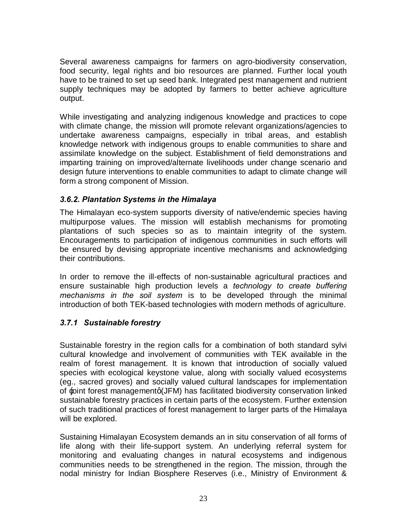Several awareness campaigns for farmers on agro-biodiversity conservation, food security, legal rights and bio resources are planned. Further local youth have to be trained to set up seed bank. Integrated pest management and nutrient supply techniques may be adopted by farmers to better achieve agriculture output.

While investigating and analyzing indigenous knowledge and practices to cope with climate change, the mission will promote relevant organizations/agencies to undertake awareness campaigns, especially in tribal areas, and establish knowledge network with indigenous groups to enable communities to share and assimilate knowledge on the subject. Establishment of field demonstrations and imparting training on improved/alternate livelihoods under change scenario and design future interventions to enable communities to adapt to climate change will form a strong component of Mission.

#### *3.6.2. Plantation Systems in the Himalaya*

The Himalayan eco-system supports diversity of native/endemic species having multipurpose values. The mission will establish mechanisms for promoting plantations of such species so as to maintain integrity of the system. Encouragements to participation of indigenous communities in such efforts will be ensured by devising appropriate incentive mechanisms and acknowledging their contributions.

In order to remove the ill-effects of non-sustainable agricultural practices and ensure sustainable high production levels a *technology to create buffering mechanisms in the soil system* is to be developed through the minimal introduction of both TEK-based technologies with modern methods of agriculture.

# *3.7.1 Sustainable forestry*

Sustainable forestry in the region calls for a combination of both standard sylvi cultural knowledge and involvement of communities with TEK available in the realm of forest management. It is known that introduction of socially valued species with ecological keystone value, along with socially valued ecosystems (eg., sacred groves) and socially valued cultural landscapes for implementation of  $\pm$  oint forest managementg(JFM) has facilitated biodiversity conservation linked sustainable forestry practices in certain parts of the ecosystem. Further extension of such traditional practices of forest management to larger parts of the Himalaya will be explored.

Sustaining Himalayan Ecosystem demands an in situ conservation of all forms of life along with their life-support system. An underlying referral system for monitoring and evaluating changes in natural ecosystems and indigenous communities needs to be strengthened in the region. The mission, through the nodal ministry for Indian Biosphere Reserves (i.e., Ministry of Environment &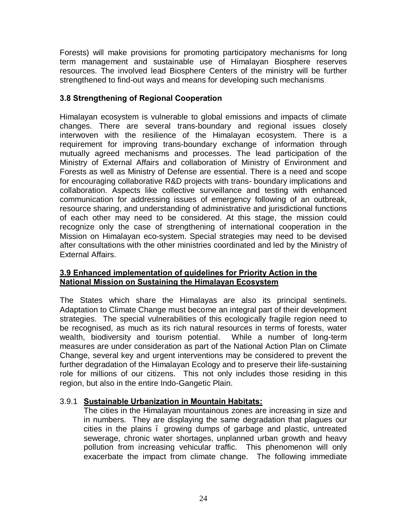Forests) will make provisions for promoting participatory mechanisms for long term management and sustainable use of Himalayan Biosphere reserves resources. The involved lead Biosphere Centers of the ministry will be further strengthened to find-out ways and means for developing such mechanisms.

#### **3.8 Strengthening of Regional Cooperation**

Himalayan ecosystem is vulnerable to global emissions and impacts of climate changes. There are several trans-boundary and regional issues closely interwoven with the resilience of the Himalayan ecosystem. There is a requirement for improving trans-boundary exchange of information through mutually agreed mechanisms and processes. The lead participation of the Ministry of External Affairs and collaboration of Ministry of Environment and Forests as well as Ministry of Defense are essential. There is a need and scope for encouraging collaborative R&D projects with trans- boundary implications and collaboration. Aspects like collective surveillance and testing with enhanced communication for addressing issues of emergency following of an outbreak, resource sharing, and understanding of administrative and jurisdictional functions of each other may need to be considered. At this stage, the mission could recognize only the case of strengthening of international cooperation in the Mission on Himalayan eco-system. Special strategies may need to be devised after consultations with the other ministries coordinated and led by the Ministry of External Affairs.

#### **3.9 Enhanced implementation of guidelines for Priority Action in the National Mission on Sustaining the Himalayan Ecosystem**

The States which share the Himalayas are also its principal sentinels. Adaptation to Climate Change must become an integral part of their development strategies. The special vulnerabilities of this ecologically fragile region need to be recognised, as much as its rich natural resources in terms of forests, water wealth, biodiversity and tourism potential. While a number of long-term measures are under consideration as part of the National Action Plan on Climate Change, several key and urgent interventions may be considered to prevent the further degradation of the Himalayan Ecology and to preserve their life-sustaining role for millions of our citizens. This not only includes those residing in this region, but also in the entire Indo-Gangetic Plain.

#### 3.9.1 **Sustainable Urbanization in Mountain Habitats:**

The cities in the Himalayan mountainous zones are increasing in size and in numbers. They are displaying the same degradation that plagues our cities in the plains – growing dumps of garbage and plastic, untreated sewerage, chronic water shortages, unplanned urban growth and heavy pollution from increasing vehicular traffic. This phenomenon will only exacerbate the impact from climate change. The following immediate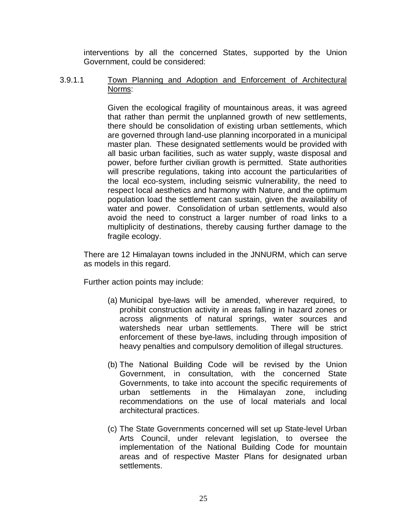interventions by all the concerned States, supported by the Union Government, could be considered:

3.9.1.1 Town Planning and Adoption and Enforcement of Architectural Norms:

> Given the ecological fragility of mountainous areas, it was agreed that rather than permit the unplanned growth of new settlements, there should be consolidation of existing urban settlements, which are governed through land-use planning incorporated in a municipal master plan. These designated settlements would be provided with all basic urban facilities, such as water supply, waste disposal and power, before further civilian growth is permitted. State authorities will prescribe regulations, taking into account the particularities of the local eco-system, including seismic vulnerability, the need to respect local aesthetics and harmony with Nature, and the optimum population load the settlement can sustain, given the availability of water and power. Consolidation of urban settlements, would also avoid the need to construct a larger number of road links to a multiplicity of destinations, thereby causing further damage to the fragile ecology.

There are 12 Himalayan towns included in the JNNURM, which can serve as models in this regard.

Further action points may include:

- (a) Municipal bye-laws will be amended, wherever required, to prohibit construction activity in areas falling in hazard zones or across alignments of natural springs, water sources and watersheds near urban settlements. There will be strict enforcement of these bye-laws, including through imposition of heavy penalties and compulsory demolition of illegal structures.
- (b) The National Building Code will be revised by the Union Government, in consultation, with the concerned State Governments, to take into account the specific requirements of urban settlements in the Himalayan zone, including recommendations on the use of local materials and local architectural practices.
- (c) The State Governments concerned will set up State-level Urban Arts Council, under relevant legislation, to oversee the implementation of the National Building Code for mountain areas and of respective Master Plans for designated urban settlements.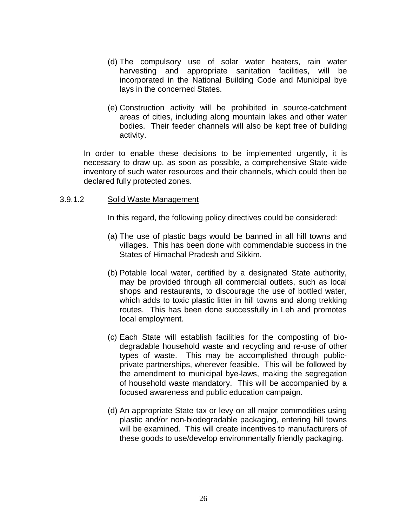- (d) The compulsory use of solar water heaters, rain water harvesting and appropriate sanitation facilities, will be incorporated in the National Building Code and Municipal bye lays in the concerned States.
- (e) Construction activity will be prohibited in source-catchment areas of cities, including along mountain lakes and other water bodies. Their feeder channels will also be kept free of building activity.

In order to enable these decisions to be implemented urgently, it is necessary to draw up, as soon as possible, a comprehensive State-wide inventory of such water resources and their channels, which could then be declared fully protected zones.

#### 3.9.1.2 Solid Waste Management

In this regard, the following policy directives could be considered:

- (a) The use of plastic bags would be banned in all hill towns and villages. This has been done with commendable success in the States of Himachal Pradesh and Sikkim.
- (b) Potable local water, certified by a designated State authority, may be provided through all commercial outlets, such as local shops and restaurants, to discourage the use of bottled water, which adds to toxic plastic litter in hill towns and along trekking routes. This has been done successfully in Leh and promotes local employment.
- (c) Each State will establish facilities for the composting of biodegradable household waste and recycling and re-use of other types of waste. This may be accomplished through publicprivate partnerships, wherever feasible. This will be followed by the amendment to municipal bye-laws, making the segregation of household waste mandatory. This will be accompanied by a focused awareness and public education campaign.
- (d) An appropriate State tax or levy on all major commodities using plastic and/or non-biodegradable packaging, entering hill towns will be examined. This will create incentives to manufacturers of these goods to use/develop environmentally friendly packaging.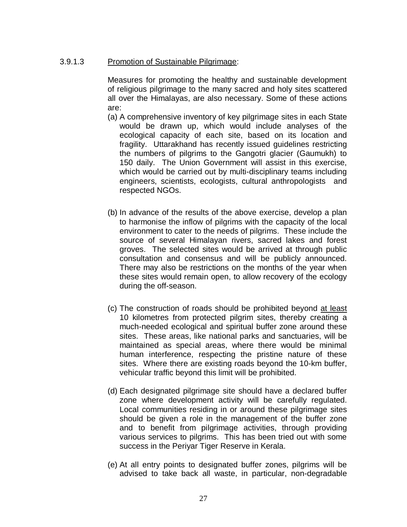#### 3.9.1.3 Promotion of Sustainable Pilgrimage:

Measures for promoting the healthy and sustainable development of religious pilgrimage to the many sacred and holy sites scattered all over the Himalayas, are also necessary. Some of these actions are:

- (a) A comprehensive inventory of key pilgrimage sites in each State would be drawn up, which would include analyses of the ecological capacity of each site, based on its location and fragility. Uttarakhand has recently issued guidelines restricting the numbers of pilgrims to the Gangotri glacier (Gaumukh) to 150 daily. The Union Government will assist in this exercise, which would be carried out by multi-disciplinary teams including engineers, scientists, ecologists, cultural anthropologists and respected NGOs.
- (b) In advance of the results of the above exercise, develop a plan to harmonise the inflow of pilgrims with the capacity of the local environment to cater to the needs of pilgrims. These include the source of several Himalayan rivers, sacred lakes and forest groves. The selected sites would be arrived at through public consultation and consensus and will be publicly announced. There may also be restrictions on the months of the year when these sites would remain open, to allow recovery of the ecology during the off-season.
- (c) The construction of roads should be prohibited beyond at least 10 kilometres from protected pilgrim sites, thereby creating a much-needed ecological and spiritual buffer zone around these sites. These areas, like national parks and sanctuaries, will be maintained as special areas, where there would be minimal human interference, respecting the pristine nature of these sites. Where there are existing roads beyond the 10-km buffer, vehicular traffic beyond this limit will be prohibited.
- (d) Each designated pilgrimage site should have a declared buffer zone where development activity will be carefully regulated. Local communities residing in or around these pilgrimage sites should be given a role in the management of the buffer zone and to benefit from pilgrimage activities, through providing various services to pilgrims. This has been tried out with some success in the Periyar Tiger Reserve in Kerala.
- (e) At all entry points to designated buffer zones, pilgrims will be advised to take back all waste, in particular, non-degradable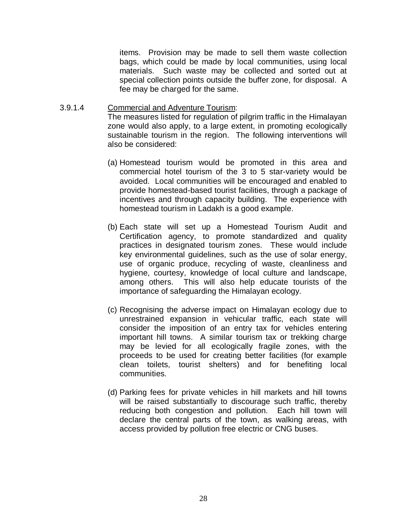items. Provision may be made to sell them waste collection bags, which could be made by local communities, using local materials. Such waste may be collected and sorted out at special collection points outside the buffer zone, for disposal. A fee may be charged for the same.

- 3.9.1.4 Commercial and Adventure Tourism: The measures listed for regulation of pilgrim traffic in the Himalayan zone would also apply, to a large extent, in promoting ecologically sustainable tourism in the region. The following interventions will also be considered:
	- (a) Homestead tourism would be promoted in this area and commercial hotel tourism of the 3 to 5 star-variety would be avoided. Local communities will be encouraged and enabled to provide homestead-based tourist facilities, through a package of incentives and through capacity building. The experience with homestead tourism in Ladakh is a good example.
	- (b) Each state will set up a Homestead Tourism Audit and Certification agency, to promote standardized and quality practices in designated tourism zones. These would include key environmental guidelines, such as the use of solar energy, use of organic produce, recycling of waste, cleanliness and hygiene, courtesy, knowledge of local culture and landscape, among others. This will also help educate tourists of the importance of safeguarding the Himalayan ecology.
	- (c) Recognising the adverse impact on Himalayan ecology due to unrestrained expansion in vehicular traffic, each state will consider the imposition of an entry tax for vehicles entering important hill towns. A similar tourism tax or trekking charge may be levied for all ecologically fragile zones, with the proceeds to be used for creating better facilities (for example clean toilets, tourist shelters) and for benefiting local communities.
	- (d) Parking fees for private vehicles in hill markets and hill towns will be raised substantially to discourage such traffic, thereby reducing both congestion and pollution. Each hill town will declare the central parts of the town, as walking areas, with access provided by pollution free electric or CNG buses.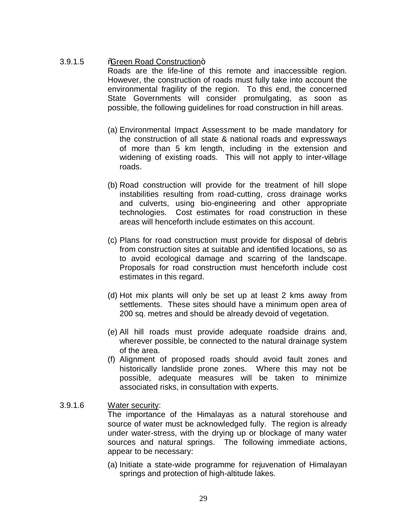#### 3.9.1.5 *Chi***cal Road Construction+**

Roads are the life-line of this remote and inaccessible region. However, the construction of roads must fully take into account the environmental fragility of the region. To this end, the concerned State Governments will consider promulgating, as soon as possible, the following guidelines for road construction in hill areas.

- (a) Environmental Impact Assessment to be made mandatory for the construction of all state & national roads and expressways of more than 5 km length, including in the extension and widening of existing roads. This will not apply to inter-village roads.
- (b) Road construction will provide for the treatment of hill slope instabilities resulting from road-cutting, cross drainage works and culverts, using bio-engineering and other appropriate technologies. Cost estimates for road construction in these areas will henceforth include estimates on this account.
- (c) Plans for road construction must provide for disposal of debris from construction sites at suitable and identified locations, so as to avoid ecological damage and scarring of the landscape. Proposals for road construction must henceforth include cost estimates in this regard.
- (d) Hot mix plants will only be set up at least 2 kms away from settlements. These sites should have a minimum open area of 200 sq. metres and should be already devoid of vegetation.
- (e) All hill roads must provide adequate roadside drains and, wherever possible, be connected to the natural drainage system of the area.
- (f) Alignment of proposed roads should avoid fault zones and historically landslide prone zones. Where this may not be possible, adequate measures will be taken to minimize associated risks, in consultation with experts.
- 3.9.1.6 Water security: The importance of the Himalayas as a natural storehouse and source of water must be acknowledged fully. The region is already under water-stress, with the drying up or blockage of many water sources and natural springs. The following immediate actions, appear to be necessary:
	- (a) Initiate a state-wide programme for rejuvenation of Himalayan springs and protection of high-altitude lakes.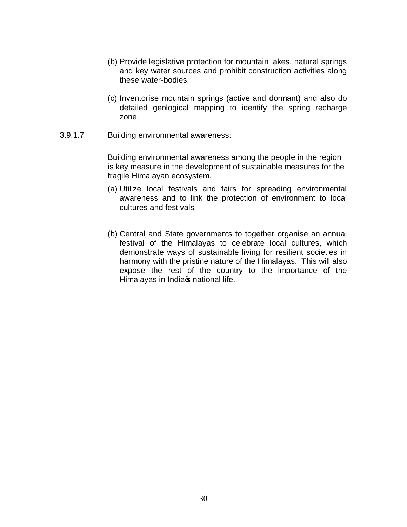- (b) Provide legislative protection for mountain lakes, natural springs and key water sources and prohibit construction activities along these water-bodies.
- (c) Inventorise mountain springs (active and dormant) and also do detailed geological mapping to identify the spring recharge zone.

#### 3.9.1.7 Building environmental awareness:

Building environmental awareness among the people in the region is key measure in the development of sustainable measures for the fragile Himalayan ecosystem.

- (a) Utilize local festivals and fairs for spreading environmental awareness and to link the protection of environment to local cultures and festivals
- (b) Central and State governments to together organise an annual festival of the Himalayas to celebrate local cultures, which demonstrate ways of sustainable living for resilient societies in harmony with the pristine nature of the Himalayas. This will also expose the rest of the country to the importance of the Himalayas in India pnational life.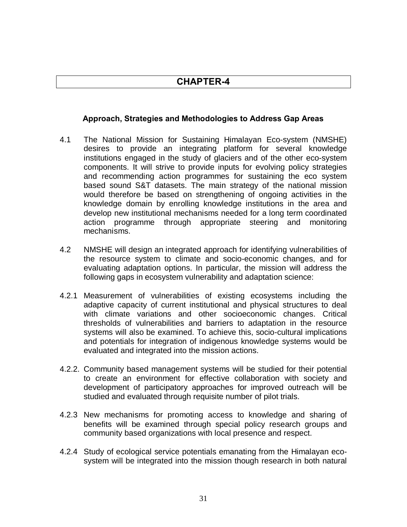#### **Approach, Strategies and Methodologies to Address Gap Areas**

- 4.1 The National Mission for Sustaining Himalayan Eco-system (NMSHE) desires to provide an integrating platform for several knowledge institutions engaged in the study of glaciers and of the other eco-system components. It will strive to provide inputs for evolving policy strategies and recommending action programmes for sustaining the eco system based sound S&T datasets. The main strategy of the national mission would therefore be based on strengthening of ongoing activities in the knowledge domain by enrolling knowledge institutions in the area and develop new institutional mechanisms needed for a long term coordinated action programme through appropriate steering and monitoring mechanisms.
- 4.2 NMSHE will design an integrated approach for identifying vulnerabilities of the resource system to climate and socio-economic changes, and for evaluating adaptation options. In particular, the mission will address the following gaps in ecosystem vulnerability and adaptation science:
- 4.2.1 Measurement of vulnerabilities of existing ecosystems including the adaptive capacity of current institutional and physical structures to deal with climate variations and other socioeconomic changes. Critical thresholds of vulnerabilities and barriers to adaptation in the resource systems will also be examined. To achieve this, socio-cultural implications and potentials for integration of indigenous knowledge systems would be evaluated and integrated into the mission actions.
- 4.2.2. Community based management systems will be studied for their potential to create an environment for effective collaboration with society and development of participatory approaches for improved outreach will be studied and evaluated through requisite number of pilot trials.
- 4.2.3 New mechanisms for promoting access to knowledge and sharing of benefits will be examined through special policy research groups and community based organizations with local presence and respect.
- 4.2.4 Study of ecological service potentials emanating from the Himalayan ecosystem will be integrated into the mission though research in both natural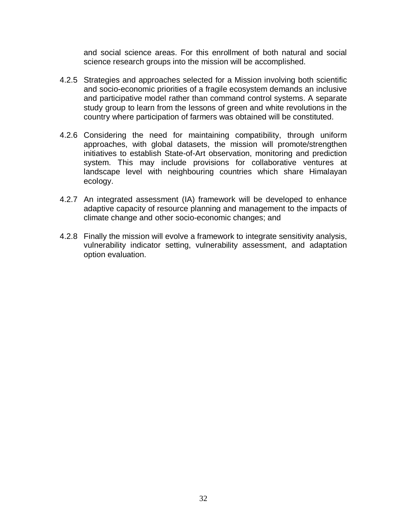and social science areas. For this enrollment of both natural and social science research groups into the mission will be accomplished.

- 4.2.5 Strategies and approaches selected for a Mission involving both scientific and socio-economic priorities of a fragile ecosystem demands an inclusive and participative model rather than command control systems. A separate study group to learn from the lessons of green and white revolutions in the country where participation of farmers was obtained will be constituted.
- 4.2.6 Considering the need for maintaining compatibility, through uniform approaches, with global datasets, the mission will promote/strengthen initiatives to establish State-of-Art observation, monitoring and prediction system. This may include provisions for collaborative ventures at landscape level with neighbouring countries which share Himalayan ecology.
- 4.2.7 An integrated assessment (IA) framework will be developed to enhance adaptive capacity of resource planning and management to the impacts of climate change and other socio-economic changes; and
- 4.2.8 Finally the mission will evolve a framework to integrate sensitivity analysis, vulnerability indicator setting, vulnerability assessment, and adaptation option evaluation.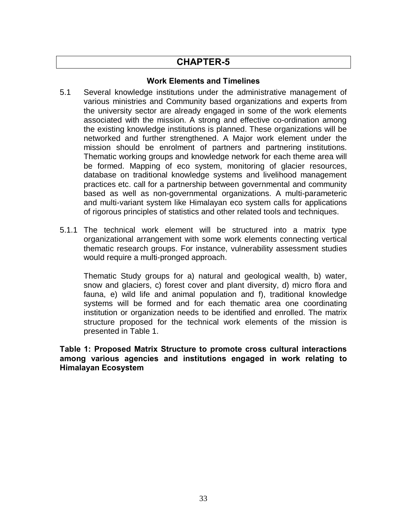# **CHAPTER-5**

#### **Work Elements and Timelines**

- 5.1 Several knowledge institutions under the administrative management of various ministries and Community based organizations and experts from the university sector are already engaged in some of the work elements associated with the mission. A strong and effective co-ordination among the existing knowledge institutions is planned. These organizations will be networked and further strengthened. A Major work element under the mission should be enrolment of partners and partnering institutions. Thematic working groups and knowledge network for each theme area will be formed. Mapping of eco system, monitoring of glacier resources, database on traditional knowledge systems and livelihood management practices etc. call for a partnership between governmental and community based as well as non-governmental organizations. A multi-parameteric and multi-variant system like Himalayan eco system calls for applications of rigorous principles of statistics and other related tools and techniques.
- 5.1.1 The technical work element will be structured into a matrix type organizational arrangement with some work elements connecting vertical thematic research groups. For instance, vulnerability assessment studies would require a multi-pronged approach.

Thematic Study groups for a) natural and geological wealth, b) water, snow and glaciers, c) forest cover and plant diversity, d) micro flora and fauna, e) wild life and animal population and f), traditional knowledge systems will be formed and for each thematic area one coordinating institution or organization needs to be identified and enrolled. The matrix structure proposed for the technical work elements of the mission is presented in Table 1.

**Table 1: Proposed Matrix Structure to promote cross cultural interactions among various agencies and institutions engaged in work relating to Himalayan Ecosystem**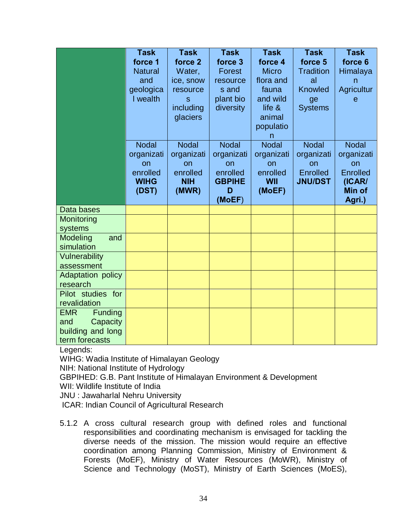|                              | <b>Task</b>             | <b>Task</b>            | <b>Task</b>        | <b>Task</b>     | <b>Task</b>      | <b>Task</b>             |
|------------------------------|-------------------------|------------------------|--------------------|-----------------|------------------|-------------------------|
|                              | force 1                 | force <sub>2</sub>     | force <sub>3</sub> | force 4         | force 5          | force 6                 |
|                              | <b>Natural</b>          | Water,                 | <b>Forest</b>      | <b>Micro</b>    | <b>Tradition</b> | Himalaya                |
|                              | and                     | ice, snow              | resource           | flora and       | al               | $\mathsf{n}$            |
|                              | geologica               | resource               | s and              | fauna           | <b>Knowled</b>   | <b>Agricultur</b>       |
|                              | I wealth                | S                      | plant bio          | and wild        | ge               | e                       |
|                              |                         | including              | diversity          | life &          | <b>Systems</b>   |                         |
|                              |                         | glaciers               |                    | animal          |                  |                         |
|                              |                         |                        |                    | populatio       |                  |                         |
|                              |                         |                        |                    | n               |                  |                         |
|                              | <b>Nodal</b>            | <b>Nodal</b>           | <b>Nodal</b>       | <b>Nodal</b>    | <b>Nodal</b>     | <b>Nodal</b>            |
|                              | organizati              | organizati             | organizati         | organizati      | organizati       | organizati              |
|                              | on                      | on                     | on                 | on              | on               | on                      |
|                              | enrolled<br><b>WIHG</b> | enrolled<br><b>NIH</b> | enrolled           | enrolled<br>WII | <b>Enrolled</b>  | <b>Enrolled</b>         |
|                              |                         |                        | <b>GBPIHE</b><br>D |                 | <b>JNU/DST</b>   | (ICAR/<br><b>Min of</b> |
|                              | (DST)                   | (MWR)                  | (MoEF)             | (MoEF)          |                  | Agri.)                  |
| Data bases                   |                         |                        |                    |                 |                  |                         |
| Monitoring                   |                         |                        |                    |                 |                  |                         |
| systems                      |                         |                        |                    |                 |                  |                         |
| Modeling<br>and              |                         |                        |                    |                 |                  |                         |
| simulation                   |                         |                        |                    |                 |                  |                         |
| <b>Vulnerability</b>         |                         |                        |                    |                 |                  |                         |
| assessment                   |                         |                        |                    |                 |                  |                         |
| <b>Adaptation policy</b>     |                         |                        |                    |                 |                  |                         |
| research                     |                         |                        |                    |                 |                  |                         |
| Pilot studies for            |                         |                        |                    |                 |                  |                         |
| revalidation                 |                         |                        |                    |                 |                  |                         |
| <b>EMR</b><br><b>Funding</b> |                         |                        |                    |                 |                  |                         |
| Capacity<br>and              |                         |                        |                    |                 |                  |                         |
| building and long            |                         |                        |                    |                 |                  |                         |
| term forecasts               |                         |                        |                    |                 |                  |                         |

Legends:

WIHG: Wadia Institute of Himalayan Geology

NIH: National Institute of Hydrology

GBPIHED: G.B. Pant Institute of Himalayan Environment & Development

WII: Wildlife Institute of India

JNU : Jawaharlal Nehru University

ICAR: Indian Council of Agricultural Research

5.1.2 A cross cultural research group with defined roles and functional responsibilities and coordinating mechanism is envisaged for tackling the diverse needs of the mission. The mission would require an effective coordination among Planning Commission, Ministry of Environment & Forests (MoEF), Ministry of Water Resources (MoWR), Ministry of Science and Technology (MoST), Ministry of Earth Sciences (MoES),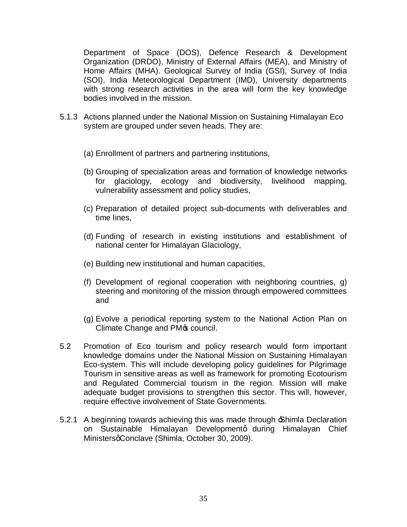Department of Space (DOS), Defence Research & Development Organization (DRDO), Ministry of External Affairs (MEA), and Ministry of Home Affairs (MHA). Geological Survey of India (GSI), Survey of India (SOI), India Meteorological Department (IMD), University departments with strong research activities in the area will form the key knowledge bodies involved in the mission.

- 5.1.3 Actions planned under the National Mission on Sustaining Himalayan Eco system are grouped under seven heads. They are:
	- (a) Enrollment of partners and partnering institutions,
	- (b) Grouping of specialization areas and formation of knowledge networks for glaciology, ecology and biodiversity, livelihood mapping, vulnerability assessment and policy studies,
	- (c) Preparation of detailed project sub-documents with deliverables and time lines,
	- (d) Funding of research in existing institutions and establishment of national center for Himalayan Glaciology,
	- (e) Building new institutional and human capacities,
	- (f) Development of regional cooperation with neighboring countries, g) steering and monitoring of the mission through empowered committees and
	- (g) Evolve a periodical reporting system to the National Action Plan on Climate Change and PM $\infty$  council.
- 5.2 Promotion of Eco tourism and policy research would form important knowledge domains under the National Mission on Sustaining Himalayan Eco-system. This will include developing policy guidelines for Pilgrimage Tourism in sensitive areas as well as framework for promoting Ecotourism and Regulated Commercial tourism in the region. Mission will make adequate budget provisions to strengthen this sector. This will, however, require effective involvement of State Governments.
- 5.2.1 A beginning towards achieving this was made through Shimla Declaration on Sustainable Himalayan Developmentq during Himalayan Chief MinistersgConclave (Shimla, October 30, 2009).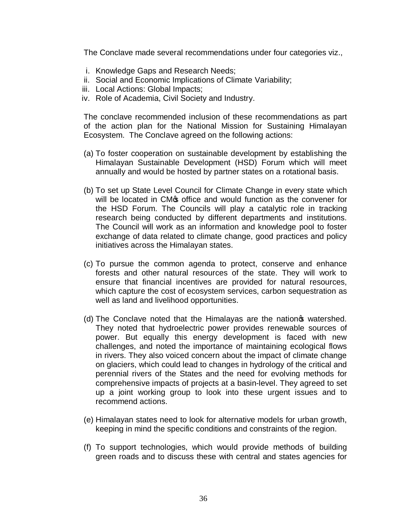The Conclave made several recommendations under four categories viz.,

- i. Knowledge Gaps and Research Needs;
- ii. Social and Economic Implications of Climate Variability;
- iii. Local Actions: Global Impacts;
- iv. Role of Academia, Civil Society and Industry.

The conclave recommended inclusion of these recommendations as part of the action plan for the National Mission for Sustaining Himalayan Ecosystem. The Conclave agreed on the following actions:

- (a) To foster cooperation on sustainable development by establishing the Himalayan Sustainable Development (HSD) Forum which will meet annually and would be hosted by partner states on a rotational basis.
- (b) To set up State Level Council for Climate Change in every state which will be located in CM $\infty$  office and would function as the convener for the HSD Forum. The Councils will play a catalytic role in tracking research being conducted by different departments and institutions. The Council will work as an information and knowledge pool to foster exchange of data related to climate change, good practices and policy initiatives across the Himalayan states.
- (c) To pursue the common agenda to protect, conserve and enhance forests and other natural resources of the state. They will work to ensure that financial incentives are provided for natural resources, which capture the cost of ecosystem services, carbon sequestration as well as land and livelihood opportunities.
- (d) The Conclave noted that the Himalayas are the nation watershed. They noted that hydroelectric power provides renewable sources of power. But equally this energy development is faced with new challenges, and noted the importance of maintaining ecological flows in rivers. They also voiced concern about the impact of climate change on glaciers, which could lead to changes in hydrology of the critical and perennial rivers of the States and the need for evolving methods for comprehensive impacts of projects at a basin-level. They agreed to set up a joint working group to look into these urgent issues and to recommend actions.
- (e) Himalayan states need to look for alternative models for urban growth, keeping in mind the specific conditions and constraints of the region.
- (f) To support technologies, which would provide methods of building green roads and to discuss these with central and states agencies for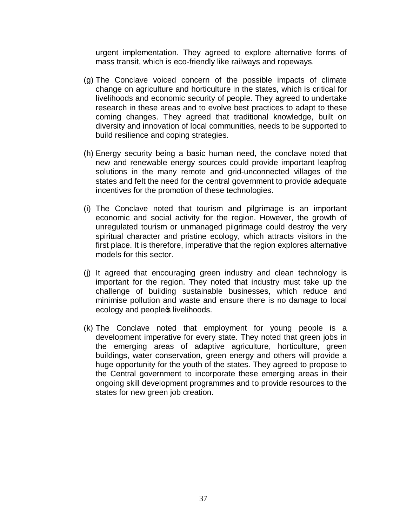urgent implementation. They agreed to explore alternative forms of mass transit, which is eco-friendly like railways and ropeways.

- (g) The Conclave voiced concern of the possible impacts of climate change on agriculture and horticulture in the states, which is critical for livelihoods and economic security of people. They agreed to undertake research in these areas and to evolve best practices to adapt to these coming changes. They agreed that traditional knowledge, built on diversity and innovation of local communities, needs to be supported to build resilience and coping strategies.
- (h) Energy security being a basic human need, the conclave noted that new and renewable energy sources could provide important leapfrog solutions in the many remote and grid-unconnected villages of the states and felt the need for the central government to provide adequate incentives for the promotion of these technologies.
- (i) The Conclave noted that tourism and pilgrimage is an important economic and social activity for the region. However, the growth of unregulated tourism or unmanaged pilgrimage could destroy the very spiritual character and pristine ecology, which attracts visitors in the first place. It is therefore, imperative that the region explores alternative models for this sector.
- (j) It agreed that encouraging green industry and clean technology is important for the region. They noted that industry must take up the challenge of building sustainable businesses, which reduce and minimise pollution and waste and ensure there is no damage to local ecology and people wivelihoods.
- (k) The Conclave noted that employment for young people is a development imperative for every state. They noted that green jobs in the emerging areas of adaptive agriculture, horticulture, green buildings, water conservation, green energy and others will provide a huge opportunity for the youth of the states. They agreed to propose to the Central government to incorporate these emerging areas in their ongoing skill development programmes and to provide resources to the states for new green job creation.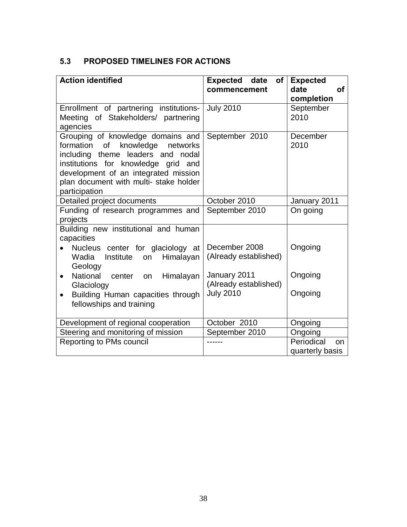# **5.3 PROPOSED TIMELINES FOR ACTIONS**

| <b>Action identified</b>                                                                                                                                                                                                                            | Expected date<br>of l<br>commencement  | <b>Expected</b><br>date<br><b>of</b><br>completion |  |
|-----------------------------------------------------------------------------------------------------------------------------------------------------------------------------------------------------------------------------------------------------|----------------------------------------|----------------------------------------------------|--|
| Enrollment of partnering institutions-<br>Meeting of Stakeholders/ partnering<br>agencies                                                                                                                                                           | <b>July 2010</b>                       | September<br>2010                                  |  |
| Grouping of knowledge domains and<br>formation of knowledge networks<br>including theme leaders and nodal<br>institutions for knowledge grid and<br>development of an integrated mission<br>plan document with multi- stake holder<br>participation | September 2010                         | December<br>2010                                   |  |
| Detailed project documents                                                                                                                                                                                                                          | October 2010                           | January 2011                                       |  |
| Funding of research programmes and<br>projects                                                                                                                                                                                                      | September 2010                         | On going                                           |  |
| Building new institutional and human<br>capacities                                                                                                                                                                                                  |                                        |                                                    |  |
| Nucleus center for glaciology at<br>Wadia<br>Institute<br>Himalayan<br>on<br>Geology                                                                                                                                                                | December 2008<br>(Already established) | Ongoing                                            |  |
| National<br>Himalayan<br>center<br>on<br>$\bullet$<br>Glaciology                                                                                                                                                                                    | January 2011<br>(Already established)  | Ongoing                                            |  |
| Building Human capacities through<br>$\bullet$<br>fellowships and training                                                                                                                                                                          | <b>July 2010</b>                       | Ongoing                                            |  |
| Development of regional cooperation                                                                                                                                                                                                                 | October 2010                           | Ongoing                                            |  |
| Steering and monitoring of mission                                                                                                                                                                                                                  | September 2010                         | Ongoing                                            |  |
| Reporting to PMs council                                                                                                                                                                                                                            | ------                                 | Periodical<br>on                                   |  |
|                                                                                                                                                                                                                                                     |                                        | quarterly basis                                    |  |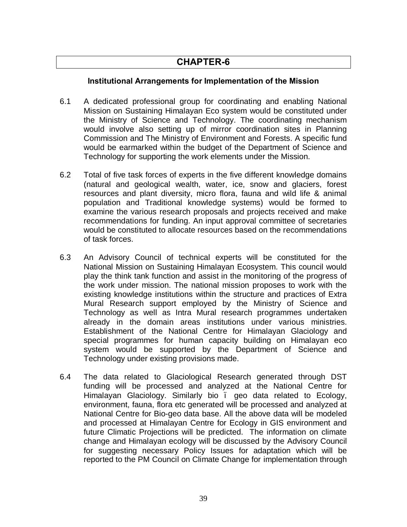#### **Institutional Arrangements for Implementation of the Mission**

- 6.1 A dedicated professional group for coordinating and enabling National Mission on Sustaining Himalayan Eco system would be constituted under the Ministry of Science and Technology. The coordinating mechanism would involve also setting up of mirror coordination sites in Planning Commission and The Ministry of Environment and Forests. A specific fund would be earmarked within the budget of the Department of Science and Technology for supporting the work elements under the Mission.
- 6.2 Total of five task forces of experts in the five different knowledge domains (natural and geological wealth, water, ice, snow and glaciers, forest resources and plant diversity, micro flora, fauna and wild life & animal population and Traditional knowledge systems) would be formed to examine the various research proposals and projects received and make recommendations for funding. An input approval committee of secretaries would be constituted to allocate resources based on the recommendations of task forces.
- 6.3 An Advisory Council of technical experts will be constituted for the National Mission on Sustaining Himalayan Ecosystem. This council would play the think tank function and assist in the monitoring of the progress of the work under mission. The national mission proposes to work with the existing knowledge institutions within the structure and practices of Extra Mural Research support employed by the Ministry of Science and Technology as well as Intra Mural research programmes undertaken already in the domain areas institutions under various ministries. Establishment of the National Centre for Himalayan Glaciology and special programmes for human capacity building on Himalayan eco system would be supported by the Department of Science and Technology under existing provisions made.
- 6.4 The data related to Glaciological Research generated through DST funding will be processed and analyzed at the National Centre for Himalayan Glaciology. Similarly bio . geo data related to Ecology, environment, fauna, flora etc generated will be processed and analyzed at National Centre for Bio-geo data base. All the above data will be modeled and processed at Himalayan Centre for Ecology in GIS environment and future Climatic Projections will be predicted. The information on climate change and Himalayan ecology will be discussed by the Advisory Council for suggesting necessary Policy Issues for adaptation which will be reported to the PM Council on Climate Change for implementation through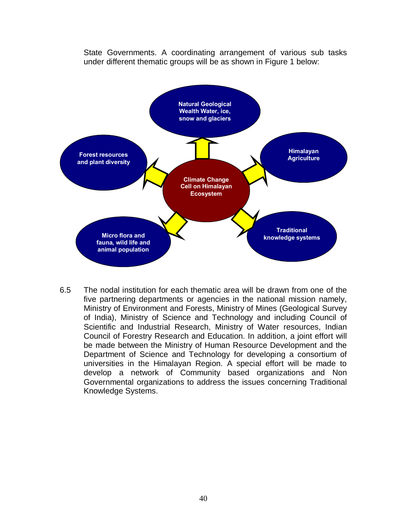

State Governments. A coordinating arrangement of various sub tasks under different thematic groups will be as shown in Figure 1 below:

6.5 The nodal institution for each thematic area will be drawn from one of the five partnering departments or agencies in the national mission namely, Ministry of Environment and Forests, Ministry of Mines (Geological Survey of India), Ministry of Science and Technology and including Council of Scientific and Industrial Research, Ministry of Water resources, Indian Council of Forestry Research and Education. In addition, a joint effort will be made between the Ministry of Human Resource Development and the Department of Science and Technology for developing a consortium of universities in the Himalayan Region. A special effort will be made to develop a network of Community based organizations and Non Governmental organizations to address the issues concerning Traditional Knowledge Systems.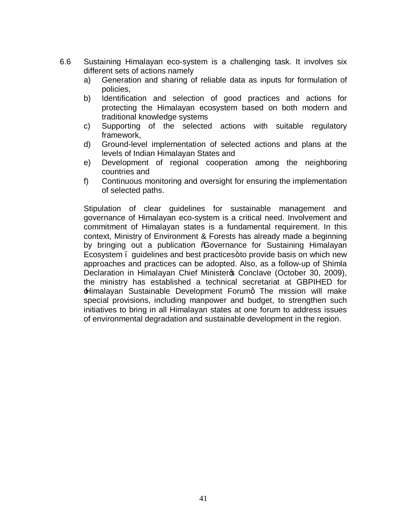- 6.6 Sustaining Himalayan eco-system is a challenging task. It involves six different sets of actions namely
	- a) Generation and sharing of reliable data as inputs for formulation of policies,
	- b) Identification and selection of good practices and actions for protecting the Himalayan ecosystem based on both modern and traditional knowledge systems
	- c) Supporting of the selected actions with suitable regulatory framework,
	- d) Ground-level implementation of selected actions and plans at the levels of Indian Himalayan States and
	- e) Development of regional cooperation among the neighboring countries and
	- f) Continuous monitoring and oversight for ensuring the implementation of selected paths.

Stipulation of clear guidelines for sustainable management and governance of Himalayan eco-system is a critical need. Involvement and commitment of Himalayan states is a fundamental requirement. In this context, Ministry of Environment & Forests has already made a beginning by bringing out a publication **%**Covernance for Sustaining Himalayan Ecosystem . guidelines and best practices+to provide basis on which new approaches and practices can be adopted. Also, as a follow-up of Shimla Declaration in Himalayan Chief Minister & Conclave (October 30, 2009), the ministry has established a technical secretariat at GBPIHED for Himalayan Sustainable Development Forumq The mission will make special provisions, including manpower and budget, to strengthen such initiatives to bring in all Himalayan states at one forum to address issues of environmental degradation and sustainable development in the region.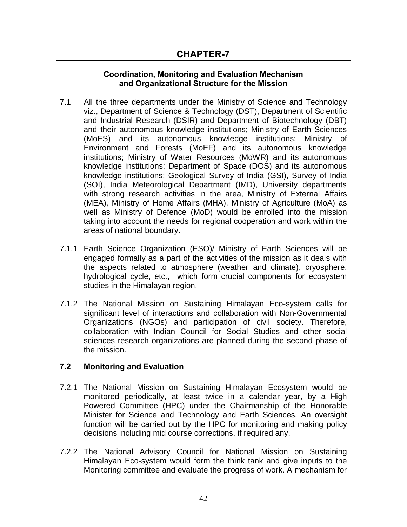# **CHAPTER-7**

#### **Coordination, Monitoring and Evaluation Mechanism and Organizational Structure for the Mission**

- 7.1 All the three departments under the Ministry of Science and Technology viz., Department of Science & Technology (DST), Department of Scientific and Industrial Research (DSIR) and Department of Biotechnology (DBT) and their autonomous knowledge institutions; Ministry of Earth Sciences (MoES) and its autonomous knowledge institutions; Ministry of Environment and Forests (MoEF) and its autonomous knowledge institutions; Ministry of Water Resources (MoWR) and its autonomous knowledge institutions; Department of Space (DOS) and its autonomous knowledge institutions; Geological Survey of India (GSI), Survey of India (SOI), India Meteorological Department (IMD), University departments with strong research activities in the area, Ministry of External Affairs (MEA), Ministry of Home Affairs (MHA), Ministry of Agriculture (MoA) as well as Ministry of Defence (MoD) would be enrolled into the mission taking into account the needs for regional cooperation and work within the areas of national boundary.
- 7.1.1 Earth Science Organization (ESO)/ Ministry of Earth Sciences will be engaged formally as a part of the activities of the mission as it deals with the aspects related to atmosphere (weather and climate), cryosphere, hydrological cycle, etc., which form crucial components for ecosystem studies in the Himalayan region.
- 7.1.2 The National Mission on Sustaining Himalayan Eco-system calls for significant level of interactions and collaboration with Non-Governmental Organizations (NGOs) and participation of civil society. Therefore, collaboration with Indian Council for Social Studies and other social sciences research organizations are planned during the second phase of the mission.

#### **7.2 Monitoring and Evaluation**

- 7.2.1 The National Mission on Sustaining Himalayan Ecosystem would be monitored periodically, at least twice in a calendar year, by a High Powered Committee (HPC) under the Chairmanship of the Honorable Minister for Science and Technology and Earth Sciences. An oversight function will be carried out by the HPC for monitoring and making policy decisions including mid course corrections, if required any.
- 7.2.2 The National Advisory Council for National Mission on Sustaining Himalayan Eco-system would form the think tank and give inputs to the Monitoring committee and evaluate the progress of work. A mechanism for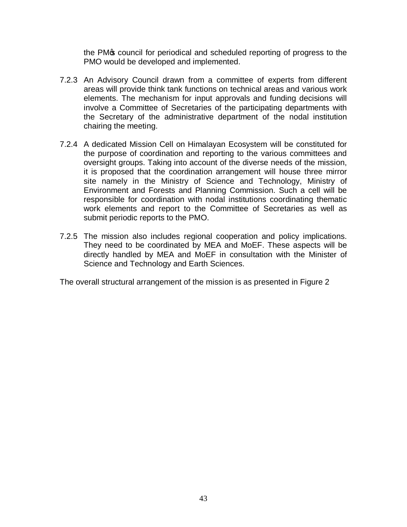the PM $\sigma$  council for periodical and scheduled reporting of progress to the PMO would be developed and implemented.

- 7.2.3 An Advisory Council drawn from a committee of experts from different areas will provide think tank functions on technical areas and various work elements. The mechanism for input approvals and funding decisions will involve a Committee of Secretaries of the participating departments with the Secretary of the administrative department of the nodal institution chairing the meeting.
- 7.2.4 A dedicated Mission Cell on Himalayan Ecosystem will be constituted for the purpose of coordination and reporting to the various committees and oversight groups. Taking into account of the diverse needs of the mission, it is proposed that the coordination arrangement will house three mirror site namely in the Ministry of Science and Technology, Ministry of Environment and Forests and Planning Commission. Such a cell will be responsible for coordination with nodal institutions coordinating thematic work elements and report to the Committee of Secretaries as well as submit periodic reports to the PMO.
- 7.2.5 The mission also includes regional cooperation and policy implications. They need to be coordinated by MEA and MoEF. These aspects will be directly handled by MEA and MoEF in consultation with the Minister of Science and Technology and Earth Sciences.

The overall structural arrangement of the mission is as presented in Figure 2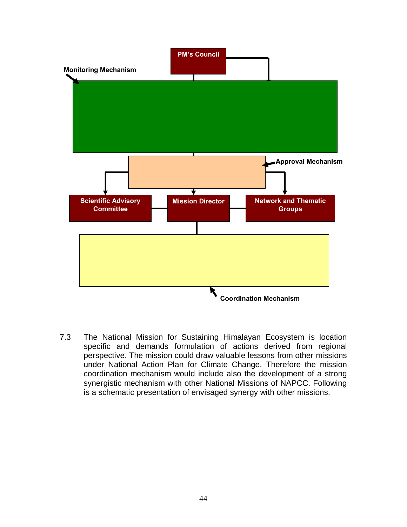

7.3 The National Mission for Sustaining Himalayan Ecosystem is location specific and demands formulation of actions derived from regional perspective. The mission could draw valuable lessons from other missions under National Action Plan for Climate Change. Therefore the mission coordination mechanism would include also the development of a strong synergistic mechanism with other National Missions of NAPCC. Following is a schematic presentation of envisaged synergy with other missions.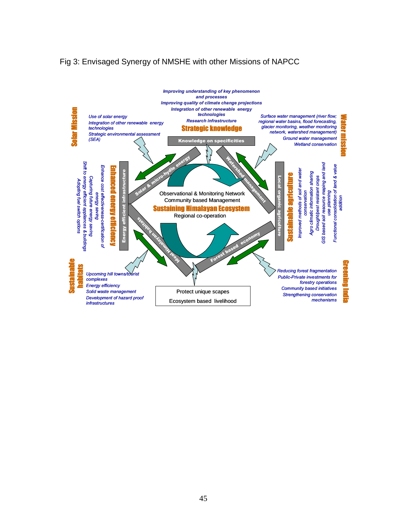#### Fig 3: Envisaged Synergy of NMSHE with other Missions of NAPCC

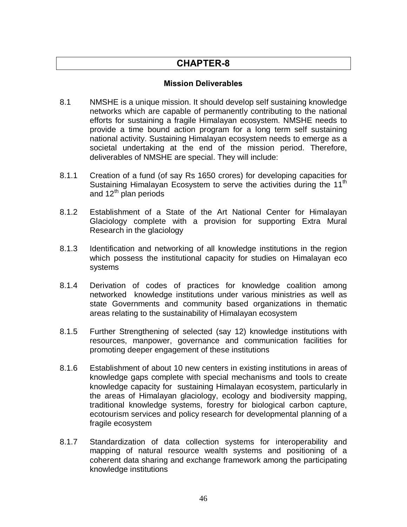# **CHAPTER-8**

#### **Mission Deliverables**

- 8.1 NMSHE is a unique mission. It should develop self sustaining knowledge networks which are capable of permanently contributing to the national efforts for sustaining a fragile Himalayan ecosystem. NMSHE needs to provide a time bound action program for a long term self sustaining national activity. Sustaining Himalayan ecosystem needs to emerge as a societal undertaking at the end of the mission period. Therefore, deliverables of NMSHE are special. They will include:
- 8.1.1 Creation of a fund (of say Rs 1650 crores) for developing capacities for Sustaining Himalayan Ecosystem to serve the activities during the 11<sup>th</sup> and  $12<sup>th</sup>$  plan periods
- 8.1.2 Establishment of a State of the Art National Center for Himalayan Glaciology complete with a provision for supporting Extra Mural Research in the glaciology
- 8.1.3 Identification and networking of all knowledge institutions in the region which possess the institutional capacity for studies on Himalayan eco systems
- 8.1.4 Derivation of codes of practices for knowledge coalition among networked knowledge institutions under various ministries as well as state Governments and community based organizations in thematic areas relating to the sustainability of Himalayan ecosystem
- 8.1.5 Further Strengthening of selected (say 12) knowledge institutions with resources, manpower, governance and communication facilities for promoting deeper engagement of these institutions
- 8.1.6 Establishment of about 10 new centers in existing institutions in areas of knowledge gaps complete with special mechanisms and tools to create knowledge capacity for sustaining Himalayan ecosystem, particularly in the areas of Himalayan glaciology, ecology and biodiversity mapping, traditional knowledge systems, forestry for biological carbon capture, ecotourism services and policy research for developmental planning of a fragile ecosystem
- 8.1.7 Standardization of data collection systems for interoperability and mapping of natural resource wealth systems and positioning of a coherent data sharing and exchange framework among the participating knowledge institutions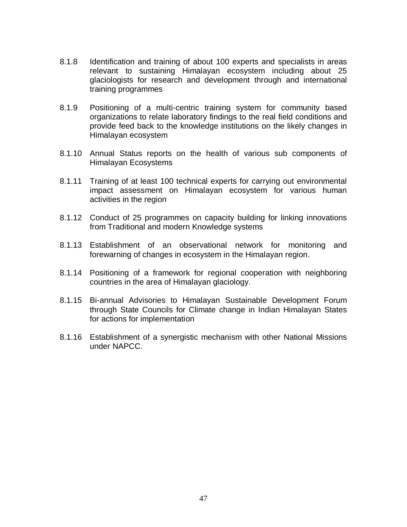- 8.1.8 Identification and training of about 100 experts and specialists in areas relevant to sustaining Himalayan ecosystem including about 25 glaciologists for research and development through and international training programmes
- 8.1.9 Positioning of a multi-centric training system for community based organizations to relate laboratory findings to the real field conditions and provide feed back to the knowledge institutions on the likely changes in Himalayan ecosystem
- 8.1.10 Annual Status reports on the health of various sub components of Himalayan Ecosystems
- 8.1.11 Training of at least 100 technical experts for carrying out environmental impact assessment on Himalayan ecosystem for various human activities in the region
- 8.1.12 Conduct of 25 programmes on capacity building for linking innovations from Traditional and modern Knowledge systems
- 8.1.13 Establishment of an observational network for monitoring and forewarning of changes in ecosystem in the Himalayan region.
- 8.1.14 Positioning of a framework for regional cooperation with neighboring countries in the area of Himalayan glaciology.
- 8.1.15 Bi-annual Advisories to Himalayan Sustainable Development Forum through State Councils for Climate change in Indian Himalayan States for actions for implementation
- 8.1.16 Establishment of a synergistic mechanism with other National Missions under NAPCC.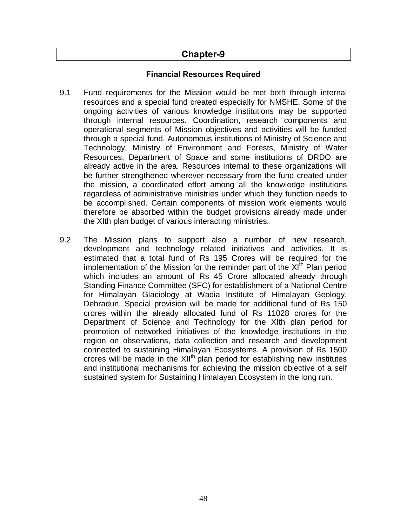# **Chapter-9**

#### **Financial Resources Required**

- 9.1 Fund requirements for the Mission would be met both through internal resources and a special fund created especially for NMSHE. Some of the ongoing activities of various knowledge institutions may be supported through internal resources. Coordination, research components and operational segments of Mission objectives and activities will be funded through a special fund. Autonomous institutions of Ministry of Science and Technology, Ministry of Environment and Forests, Ministry of Water Resources, Department of Space and some institutions of DRDO are already active in the area. Resources internal to these organizations will be further strengthened wherever necessary from the fund created under the mission, a coordinated effort among all the knowledge institutions regardless of administrative ministries under which they function needs to be accomplished. Certain components of mission work elements would therefore be absorbed within the budget provisions already made under the XIth plan budget of various interacting ministries.
- 9.2 The Mission plans to support also a number of new research, development and technology related initiatives and activities. It is estimated that a total fund of Rs 195 Crores will be required for the implementation of the Mission for the reminder part of the  $XI<sup>th</sup>$  Plan period which includes an amount of Rs 45 Crore allocated already through Standing Finance Committee (SFC) for establishment of a National Centre for Himalayan Glaciology at Wadia Institute of Himalayan Geology, Dehradun. Special provision will be made for additional fund of Rs 150 crores within the already allocated fund of Rs 11028 crores for the Department of Science and Technology for the XIth plan period for promotion of networked initiatives of the knowledge institutions in the region on observations, data collection and research and development connected to sustaining Himalayan Ecosystems. A provision of Rs 1500 crores will be made in the XII<sup>th</sup> plan period for establishing new institutes and institutional mechanisms for achieving the mission objective of a self sustained system for Sustaining Himalayan Ecosystem in the long run.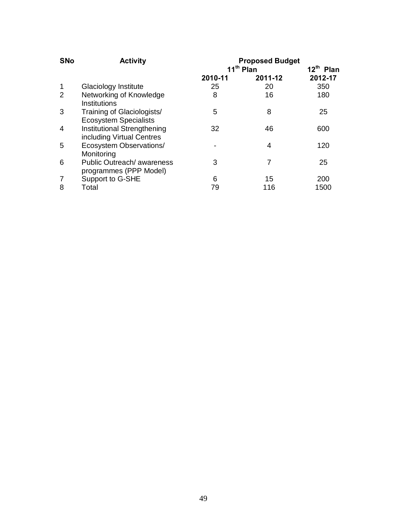| <b>SNo</b>     | <b>Activity</b>                                            | <b>Proposed Budget</b> |           |         |  |
|----------------|------------------------------------------------------------|------------------------|-----------|---------|--|
|                |                                                            | 11 <sup>th</sup> Plan  | 12th Plan |         |  |
|                |                                                            | 2010-11                | 2011-12   | 2012-17 |  |
| 1              | Glaciology Institute                                       | 25                     | 20        | 350     |  |
| $\overline{2}$ | Networking of Knowledge<br><b>Institutions</b>             | 8                      | 16        | 180     |  |
| 3              | Training of Glaciologists/<br><b>Ecosystem Specialists</b> | 5                      | 8         | 25      |  |
| 4              | Institutional Strengthening<br>including Virtual Centres   | 32                     | 46        | 600     |  |
| 5              | Ecosystem Observations/<br>Monitoring                      |                        | 4         | 120     |  |
| 6              | Public Outreach/ awareness<br>programmes (PPP Model)       | 3                      | 7         | 25      |  |
| 7              | Support to G-SHE                                           | 6                      | 15        | 200     |  |
| 8              | Total                                                      | 79                     | 116       | 1500    |  |